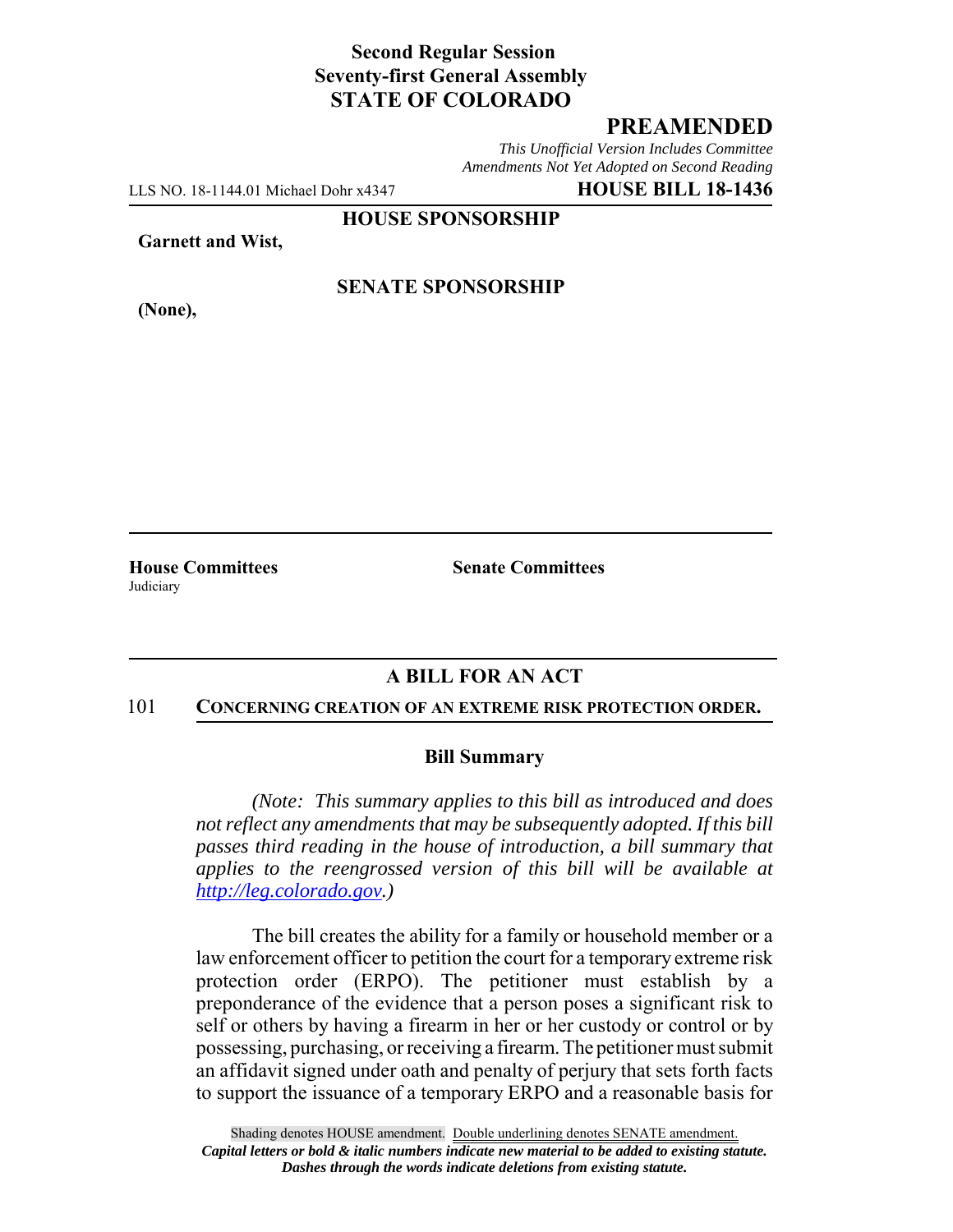## **Second Regular Session Seventy-first General Assembly STATE OF COLORADO**

## **PREAMENDED**

*This Unofficial Version Includes Committee Amendments Not Yet Adopted on Second Reading*

LLS NO. 18-1144.01 Michael Dohr x4347 **HOUSE BILL 18-1436**

**HOUSE SPONSORSHIP**

**Garnett and Wist,**

**(None),**

## **SENATE SPONSORSHIP**

**House Committees Senate Committees Judiciary** 

## **A BILL FOR AN ACT**

#### 101 **CONCERNING CREATION OF AN EXTREME RISK PROTECTION ORDER.**

### **Bill Summary**

*(Note: This summary applies to this bill as introduced and does not reflect any amendments that may be subsequently adopted. If this bill passes third reading in the house of introduction, a bill summary that applies to the reengrossed version of this bill will be available at http://leg.colorado.gov.)*

The bill creates the ability for a family or household member or a law enforcement officer to petition the court for a temporary extreme risk protection order (ERPO). The petitioner must establish by a preponderance of the evidence that a person poses a significant risk to self or others by having a firearm in her or her custody or control or by possessing, purchasing, or receiving a firearm. The petitioner must submit an affidavit signed under oath and penalty of perjury that sets forth facts to support the issuance of a temporary ERPO and a reasonable basis for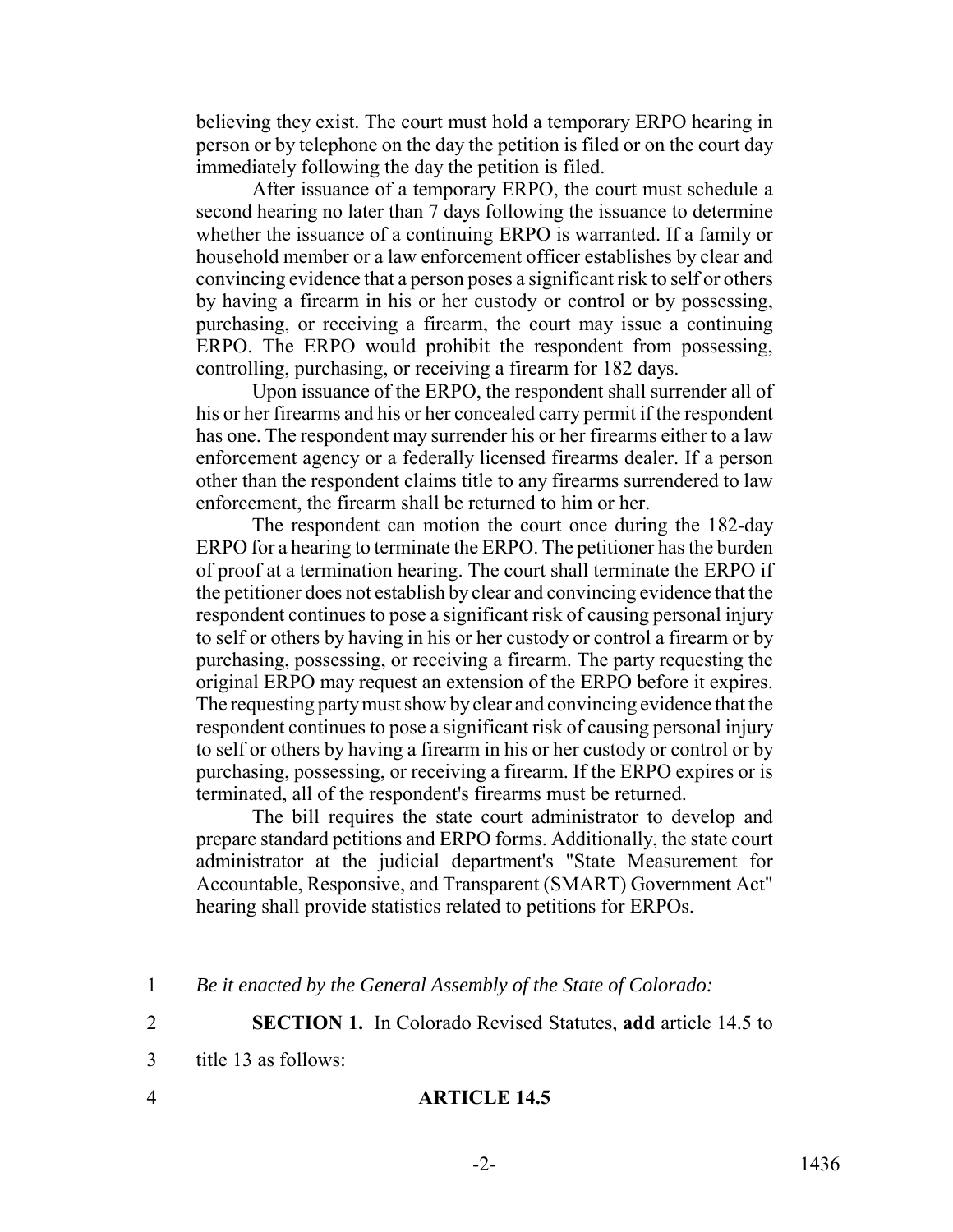believing they exist. The court must hold a temporary ERPO hearing in person or by telephone on the day the petition is filed or on the court day immediately following the day the petition is filed.

After issuance of a temporary ERPO, the court must schedule a second hearing no later than 7 days following the issuance to determine whether the issuance of a continuing ERPO is warranted. If a family or household member or a law enforcement officer establishes by clear and convincing evidence that a person poses a significant risk to self or others by having a firearm in his or her custody or control or by possessing, purchasing, or receiving a firearm, the court may issue a continuing ERPO. The ERPO would prohibit the respondent from possessing, controlling, purchasing, or receiving a firearm for 182 days.

Upon issuance of the ERPO, the respondent shall surrender all of his or her firearms and his or her concealed carry permit if the respondent has one. The respondent may surrender his or her firearms either to a law enforcement agency or a federally licensed firearms dealer. If a person other than the respondent claims title to any firearms surrendered to law enforcement, the firearm shall be returned to him or her.

The respondent can motion the court once during the 182-day ERPO for a hearing to terminate the ERPO. The petitioner has the burden of proof at a termination hearing. The court shall terminate the ERPO if the petitioner does not establish by clear and convincing evidence that the respondent continues to pose a significant risk of causing personal injury to self or others by having in his or her custody or control a firearm or by purchasing, possessing, or receiving a firearm. The party requesting the original ERPO may request an extension of the ERPO before it expires. The requesting party must show by clear and convincing evidence that the respondent continues to pose a significant risk of causing personal injury to self or others by having a firearm in his or her custody or control or by purchasing, possessing, or receiving a firearm. If the ERPO expires or is terminated, all of the respondent's firearms must be returned.

The bill requires the state court administrator to develop and prepare standard petitions and ERPO forms. Additionally, the state court administrator at the judicial department's "State Measurement for Accountable, Responsive, and Transparent (SMART) Government Act" hearing shall provide statistics related to petitions for ERPOs.

2 **SECTION 1.** In Colorado Revised Statutes, **add** article 14.5 to

- 3 title 13 as follows:
- 

# 4 **ARTICLE 14.5**

<sup>1</sup> *Be it enacted by the General Assembly of the State of Colorado:*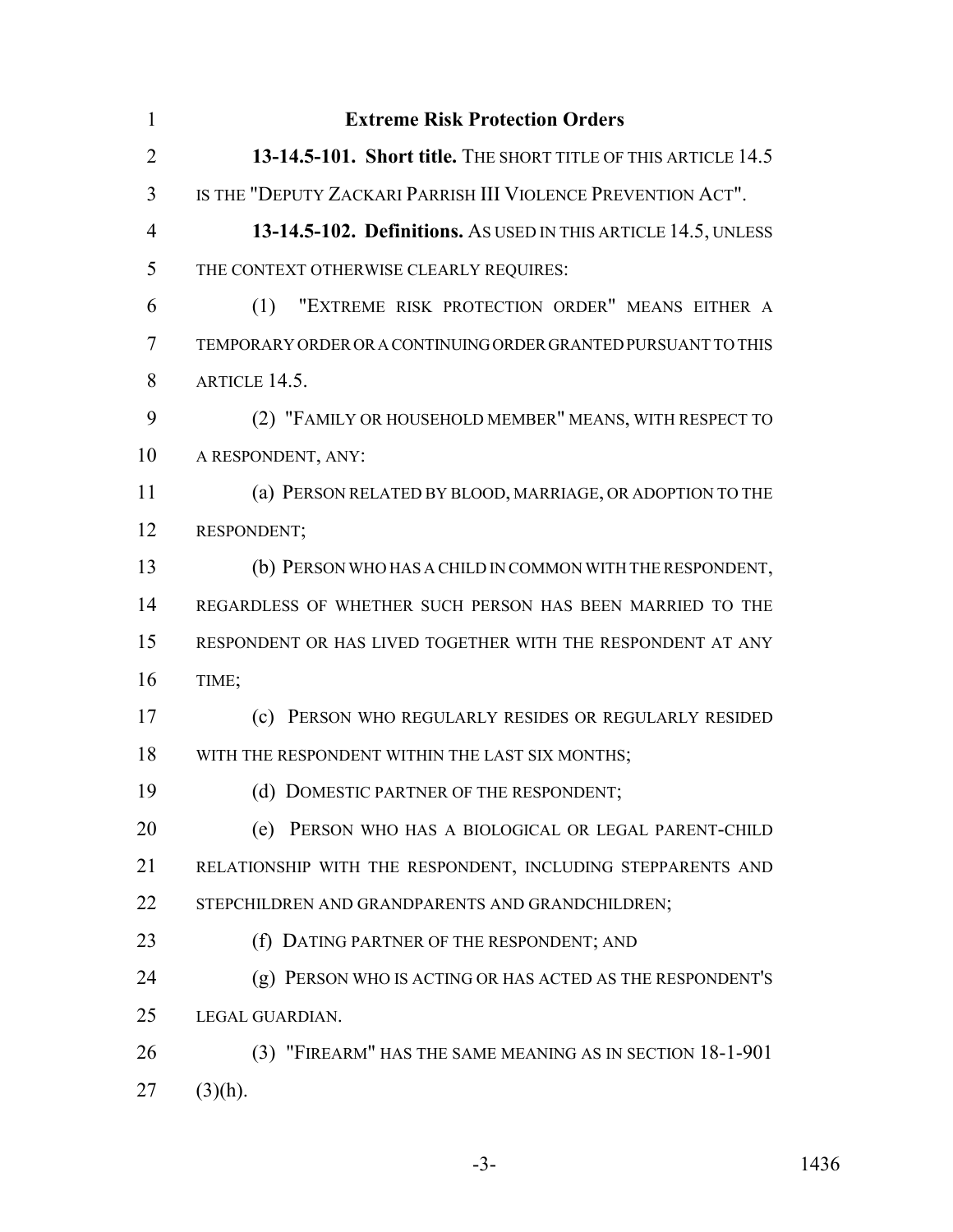| $\mathbf{1}$   | <b>Extreme Risk Protection Orders</b>                          |
|----------------|----------------------------------------------------------------|
| $\overline{2}$ | 13-14.5-101. Short title. THE SHORT TITLE OF THIS ARTICLE 14.5 |
| 3              | IS THE "DEPUTY ZACKARI PARRISH III VIOLENCE PREVENTION ACT".   |
| $\overline{4}$ | 13-14.5-102. Definitions. As USED IN THIS ARTICLE 14.5, UNLESS |
| 5              | THE CONTEXT OTHERWISE CLEARLY REQUIRES:                        |
| 6              | "EXTREME RISK PROTECTION ORDER" MEANS EITHER A<br>(1)          |
| 7              | TEMPORARY ORDER OR A CONTINUING ORDER GRANTED PURSUANT TO THIS |
| 8              | ARTICLE 14.5.                                                  |
| 9              | (2) "FAMILY OR HOUSEHOLD MEMBER" MEANS, WITH RESPECT TO        |
| 10             | A RESPONDENT, ANY:                                             |
| 11             | (a) PERSON RELATED BY BLOOD, MARRIAGE, OR ADOPTION TO THE      |
| 12             | RESPONDENT;                                                    |
| 13             | (b) PERSON WHO HAS A CHILD IN COMMON WITH THE RESPONDENT,      |
| 14             | REGARDLESS OF WHETHER SUCH PERSON HAS BEEN MARRIED TO THE      |
| 15             | RESPONDENT OR HAS LIVED TOGETHER WITH THE RESPONDENT AT ANY    |
| 16             | TIME;                                                          |
| 17             | (c) PERSON WHO REGULARLY RESIDES OR REGULARLY RESIDED          |
| 18             | WITH THE RESPONDENT WITHIN THE LAST SIX MONTHS;                |
| 19             | (d) DOMESTIC PARTNER OF THE RESPONDENT;                        |
| 20             | (e) PERSON WHO HAS A BIOLOGICAL OR LEGAL PARENT-CHILD          |
| 21             | RELATIONSHIP WITH THE RESPONDENT, INCLUDING STEPPARENTS AND    |
| 22             | STEPCHILDREN AND GRANDPARENTS AND GRANDCHILDREN;               |
| 23             | (f) DATING PARTNER OF THE RESPONDENT; AND                      |
| 24             | (g) PERSON WHO IS ACTING OR HAS ACTED AS THE RESPONDENT'S      |
| 25             | LEGAL GUARDIAN.                                                |
| 26             | (3) "FIREARM" HAS THE SAME MEANING AS IN SECTION 18-1-901      |
| 27             | $(3)(h)$ .                                                     |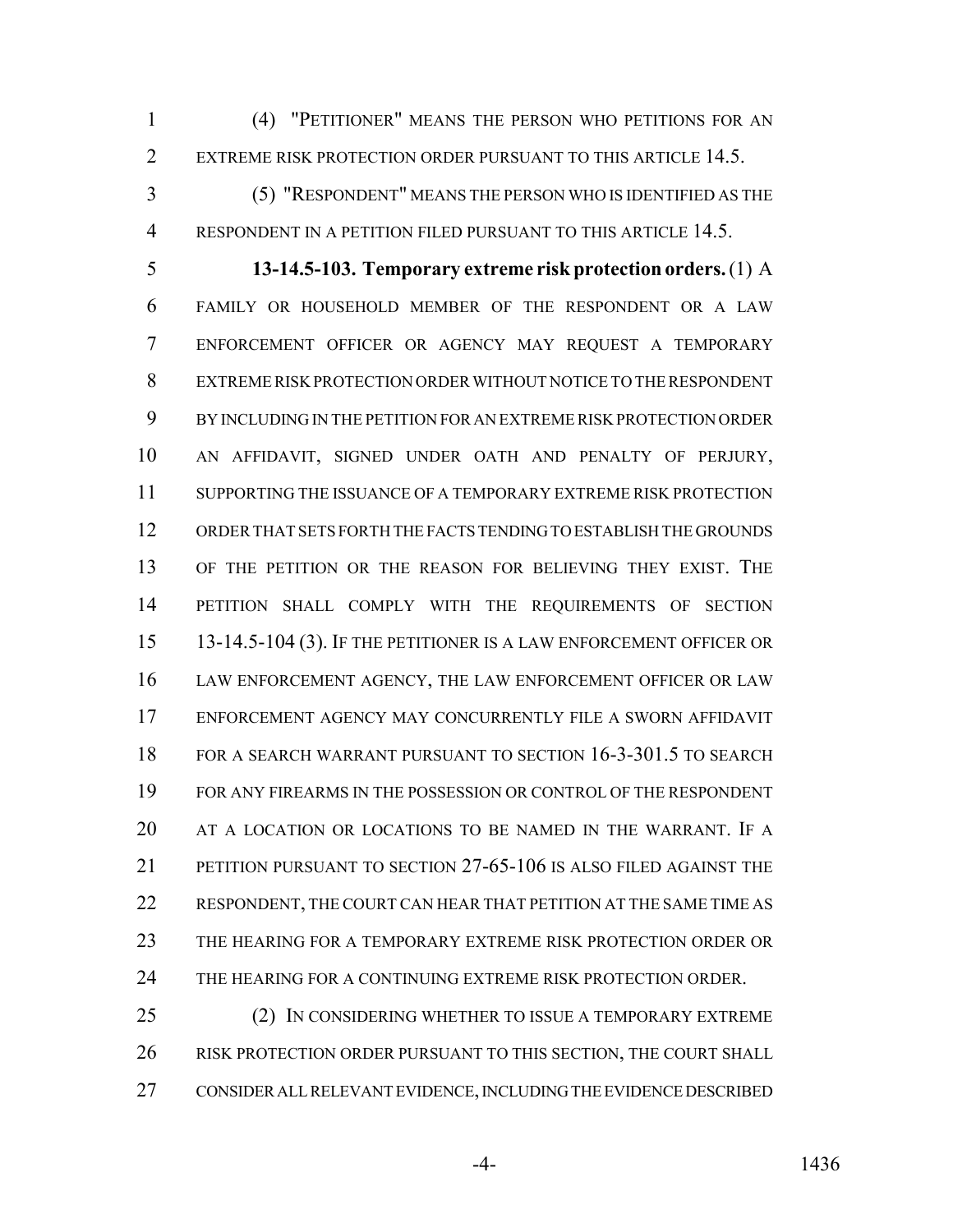(4) "PETITIONER" MEANS THE PERSON WHO PETITIONS FOR AN 2 EXTREME RISK PROTECTION ORDER PURSUANT TO THIS ARTICLE 14.5.

 (5) "RESPONDENT" MEANS THE PERSON WHO IS IDENTIFIED AS THE RESPONDENT IN A PETITION FILED PURSUANT TO THIS ARTICLE 14.5.

 **13-14.5-103. Temporary extreme risk protection orders.** (1) A FAMILY OR HOUSEHOLD MEMBER OF THE RESPONDENT OR A LAW ENFORCEMENT OFFICER OR AGENCY MAY REQUEST A TEMPORARY EXTREME RISK PROTECTION ORDER WITHOUT NOTICE TO THE RESPONDENT BY INCLUDING IN THE PETITION FOR AN EXTREME RISK PROTECTION ORDER AN AFFIDAVIT, SIGNED UNDER OATH AND PENALTY OF PERJURY, SUPPORTING THE ISSUANCE OF A TEMPORARY EXTREME RISK PROTECTION ORDER THAT SETS FORTH THE FACTS TENDING TO ESTABLISH THE GROUNDS OF THE PETITION OR THE REASON FOR BELIEVING THEY EXIST. THE PETITION SHALL COMPLY WITH THE REQUIREMENTS OF SECTION 15 13-14.5-104 (3). IF THE PETITIONER IS A LAW ENFORCEMENT OFFICER OR LAW ENFORCEMENT AGENCY, THE LAW ENFORCEMENT OFFICER OR LAW ENFORCEMENT AGENCY MAY CONCURRENTLY FILE A SWORN AFFIDAVIT FOR A SEARCH WARRANT PURSUANT TO SECTION 16-3-301.5 TO SEARCH FOR ANY FIREARMS IN THE POSSESSION OR CONTROL OF THE RESPONDENT 20 AT A LOCATION OR LOCATIONS TO BE NAMED IN THE WARRANT. IF A PETITION PURSUANT TO SECTION 27-65-106 IS ALSO FILED AGAINST THE RESPONDENT, THE COURT CAN HEAR THAT PETITION AT THE SAME TIME AS THE HEARING FOR A TEMPORARY EXTREME RISK PROTECTION ORDER OR THE HEARING FOR A CONTINUING EXTREME RISK PROTECTION ORDER.

 (2) IN CONSIDERING WHETHER TO ISSUE A TEMPORARY EXTREME RISK PROTECTION ORDER PURSUANT TO THIS SECTION, THE COURT SHALL CONSIDER ALL RELEVANT EVIDENCE, INCLUDING THE EVIDENCE DESCRIBED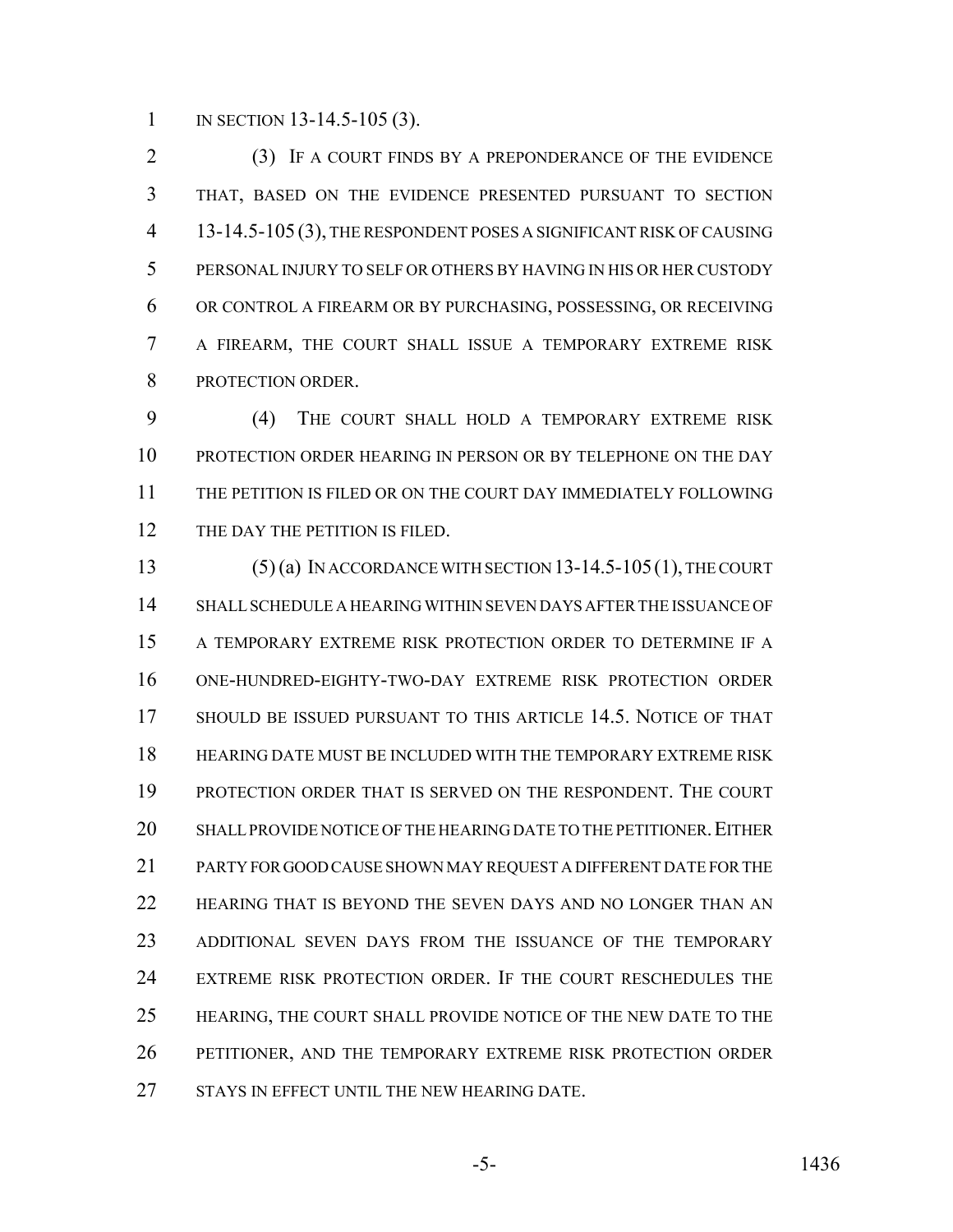1 IN SECTION 13-14.5-105 (3).

 (3) IF A COURT FINDS BY A PREPONDERANCE OF THE EVIDENCE THAT, BASED ON THE EVIDENCE PRESENTED PURSUANT TO SECTION 13-14.5-105 (3), THE RESPONDENT POSES A SIGNIFICANT RISK OF CAUSING PERSONAL INJURY TO SELF OR OTHERS BY HAVING IN HIS OR HER CUSTODY OR CONTROL A FIREARM OR BY PURCHASING, POSSESSING, OR RECEIVING A FIREARM, THE COURT SHALL ISSUE A TEMPORARY EXTREME RISK PROTECTION ORDER.

 (4) THE COURT SHALL HOLD A TEMPORARY EXTREME RISK PROTECTION ORDER HEARING IN PERSON OR BY TELEPHONE ON THE DAY THE PETITION IS FILED OR ON THE COURT DAY IMMEDIATELY FOLLOWING 12 THE DAY THE PETITION IS FILED.

 (5) (a) IN ACCORDANCE WITH SECTION 13-14.5-105(1), THE COURT SHALL SCHEDULE A HEARING WITHIN SEVEN DAYS AFTER THE ISSUANCE OF A TEMPORARY EXTREME RISK PROTECTION ORDER TO DETERMINE IF A ONE-HUNDRED-EIGHTY-TWO-DAY EXTREME RISK PROTECTION ORDER SHOULD BE ISSUED PURSUANT TO THIS ARTICLE 14.5. NOTICE OF THAT HEARING DATE MUST BE INCLUDED WITH THE TEMPORARY EXTREME RISK PROTECTION ORDER THAT IS SERVED ON THE RESPONDENT. THE COURT 20 SHALL PROVIDE NOTICE OF THE HEARING DATE TO THE PETITIONER. EITHER PARTY FOR GOOD CAUSE SHOWN MAY REQUEST A DIFFERENT DATE FOR THE HEARING THAT IS BEYOND THE SEVEN DAYS AND NO LONGER THAN AN ADDITIONAL SEVEN DAYS FROM THE ISSUANCE OF THE TEMPORARY EXTREME RISK PROTECTION ORDER. IF THE COURT RESCHEDULES THE HEARING, THE COURT SHALL PROVIDE NOTICE OF THE NEW DATE TO THE PETITIONER, AND THE TEMPORARY EXTREME RISK PROTECTION ORDER 27 STAYS IN EFFECT UNTIL THE NEW HEARING DATE.

-5- 1436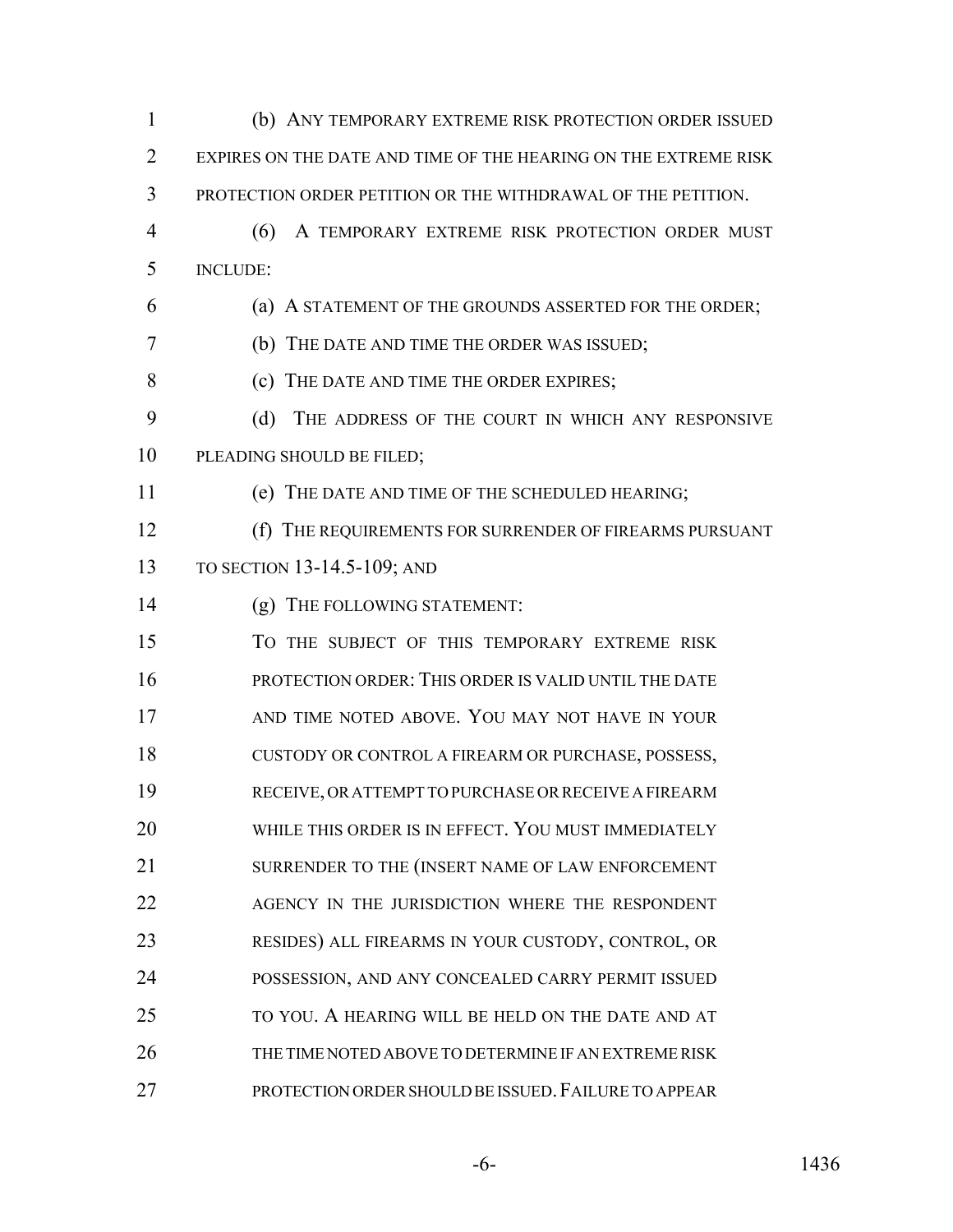(b) ANY TEMPORARY EXTREME RISK PROTECTION ORDER ISSUED EXPIRES ON THE DATE AND TIME OF THE HEARING ON THE EXTREME RISK PROTECTION ORDER PETITION OR THE WITHDRAWAL OF THE PETITION. (6) A TEMPORARY EXTREME RISK PROTECTION ORDER MUST INCLUDE: (a) A STATEMENT OF THE GROUNDS ASSERTED FOR THE ORDER; (b) THE DATE AND TIME THE ORDER WAS ISSUED; (c) THE DATE AND TIME THE ORDER EXPIRES; (d) THE ADDRESS OF THE COURT IN WHICH ANY RESPONSIVE PLEADING SHOULD BE FILED; (e) THE DATE AND TIME OF THE SCHEDULED HEARING; (f) THE REQUIREMENTS FOR SURRENDER OF FIREARMS PURSUANT TO SECTION 13-14.5-109; AND (g) THE FOLLOWING STATEMENT: TO THE SUBJECT OF THIS TEMPORARY EXTREME RISK PROTECTION ORDER: THIS ORDER IS VALID UNTIL THE DATE 17 AND TIME NOTED ABOVE. YOU MAY NOT HAVE IN YOUR CUSTODY OR CONTROL A FIREARM OR PURCHASE, POSSESS, RECEIVE, OR ATTEMPT TO PURCHASE OR RECEIVE A FIREARM 20 WHILE THIS ORDER IS IN EFFECT. YOU MUST IMMEDIATELY SURRENDER TO THE (INSERT NAME OF LAW ENFORCEMENT 22 AGENCY IN THE JURISDICTION WHERE THE RESPONDENT RESIDES) ALL FIREARMS IN YOUR CUSTODY, CONTROL, OR POSSESSION, AND ANY CONCEALED CARRY PERMIT ISSUED TO YOU. A HEARING WILL BE HELD ON THE DATE AND AT THE TIME NOTED ABOVE TO DETERMINE IF AN EXTREME RISK PROTECTION ORDER SHOULD BE ISSUED.FAILURE TO APPEAR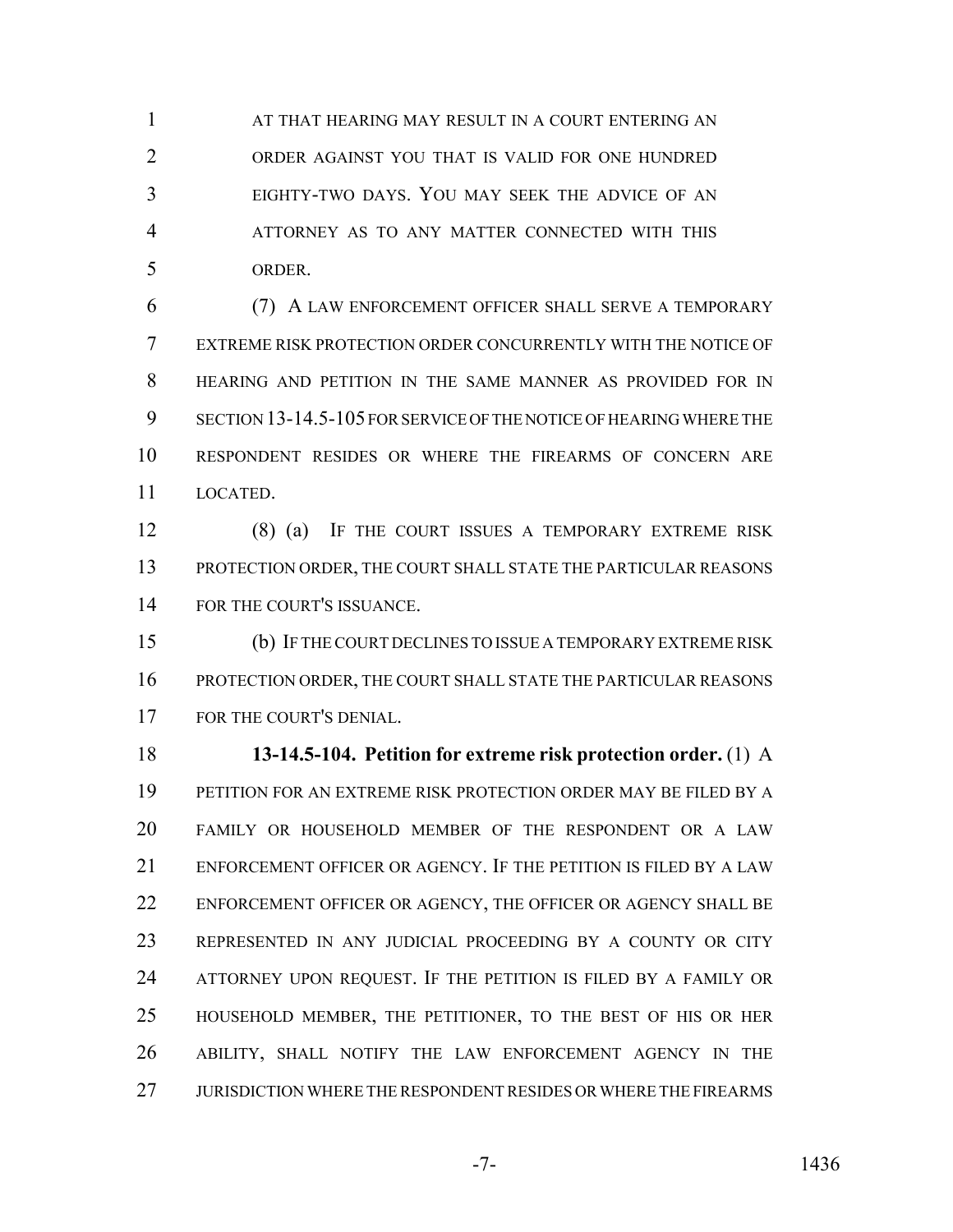**AT THAT HEARING MAY RESULT IN A COURT ENTERING AN**  ORDER AGAINST YOU THAT IS VALID FOR ONE HUNDRED EIGHTY-TWO DAYS. YOU MAY SEEK THE ADVICE OF AN ATTORNEY AS TO ANY MATTER CONNECTED WITH THIS ORDER.

 (7) A LAW ENFORCEMENT OFFICER SHALL SERVE A TEMPORARY EXTREME RISK PROTECTION ORDER CONCURRENTLY WITH THE NOTICE OF HEARING AND PETITION IN THE SAME MANNER AS PROVIDED FOR IN SECTION 13-14.5-105 FOR SERVICE OF THE NOTICE OF HEARING WHERE THE RESPONDENT RESIDES OR WHERE THE FIREARMS OF CONCERN ARE LOCATED.

 (8) (a) IF THE COURT ISSUES A TEMPORARY EXTREME RISK PROTECTION ORDER, THE COURT SHALL STATE THE PARTICULAR REASONS FOR THE COURT'S ISSUANCE.

 (b) IF THE COURT DECLINES TO ISSUE A TEMPORARY EXTREME RISK PROTECTION ORDER, THE COURT SHALL STATE THE PARTICULAR REASONS FOR THE COURT'S DENIAL.

 **13-14.5-104. Petition for extreme risk protection order.** (1) A PETITION FOR AN EXTREME RISK PROTECTION ORDER MAY BE FILED BY A FAMILY OR HOUSEHOLD MEMBER OF THE RESPONDENT OR A LAW ENFORCEMENT OFFICER OR AGENCY. IF THE PETITION IS FILED BY A LAW ENFORCEMENT OFFICER OR AGENCY, THE OFFICER OR AGENCY SHALL BE REPRESENTED IN ANY JUDICIAL PROCEEDING BY A COUNTY OR CITY ATTORNEY UPON REQUEST. IF THE PETITION IS FILED BY A FAMILY OR HOUSEHOLD MEMBER, THE PETITIONER, TO THE BEST OF HIS OR HER ABILITY, SHALL NOTIFY THE LAW ENFORCEMENT AGENCY IN THE JURISDICTION WHERE THE RESPONDENT RESIDES OR WHERE THE FIREARMS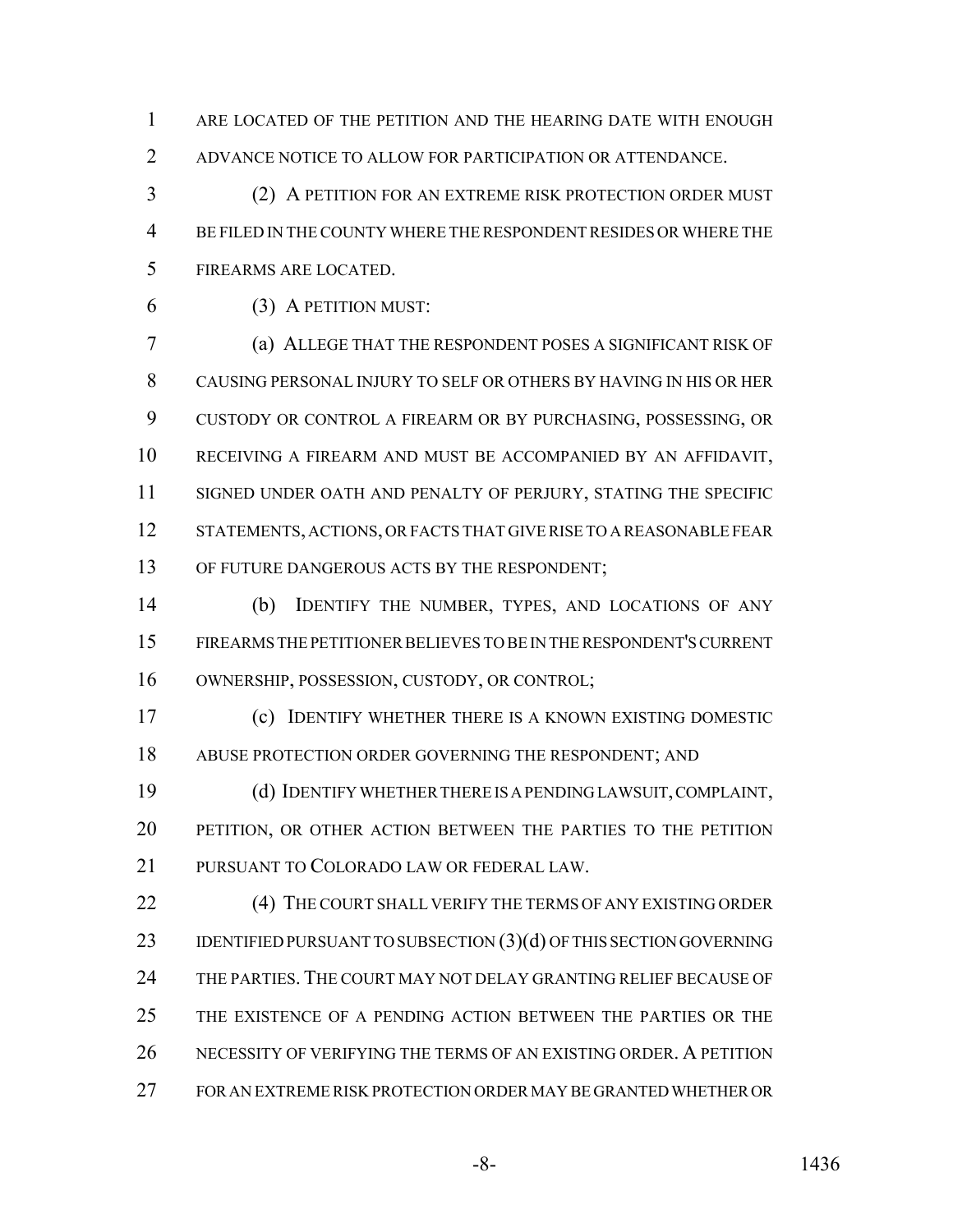ARE LOCATED OF THE PETITION AND THE HEARING DATE WITH ENOUGH ADVANCE NOTICE TO ALLOW FOR PARTICIPATION OR ATTENDANCE.

 (2) A PETITION FOR AN EXTREME RISK PROTECTION ORDER MUST BE FILED IN THE COUNTY WHERE THE RESPONDENT RESIDES OR WHERE THE FIREARMS ARE LOCATED.

(3) A PETITION MUST:

 (a) ALLEGE THAT THE RESPONDENT POSES A SIGNIFICANT RISK OF CAUSING PERSONAL INJURY TO SELF OR OTHERS BY HAVING IN HIS OR HER CUSTODY OR CONTROL A FIREARM OR BY PURCHASING, POSSESSING, OR RECEIVING A FIREARM AND MUST BE ACCOMPANIED BY AN AFFIDAVIT, SIGNED UNDER OATH AND PENALTY OF PERJURY, STATING THE SPECIFIC STATEMENTS, ACTIONS, OR FACTS THAT GIVE RISE TO A REASONABLE FEAR OF FUTURE DANGEROUS ACTS BY THE RESPONDENT;

 (b) IDENTIFY THE NUMBER, TYPES, AND LOCATIONS OF ANY FIREARMS THE PETITIONER BELIEVES TO BE IN THE RESPONDENT'S CURRENT OWNERSHIP, POSSESSION, CUSTODY, OR CONTROL;

 (c) IDENTIFY WHETHER THERE IS A KNOWN EXISTING DOMESTIC ABUSE PROTECTION ORDER GOVERNING THE RESPONDENT; AND

 (d) IDENTIFY WHETHER THERE IS A PENDING LAWSUIT, COMPLAINT, PETITION, OR OTHER ACTION BETWEEN THE PARTIES TO THE PETITION PURSUANT TO COLORADO LAW OR FEDERAL LAW.

**(4) THE COURT SHALL VERIFY THE TERMS OF ANY EXISTING ORDER** 23 IDENTIFIED PURSUANT TO SUBSECTION (3)(d) OF THIS SECTION GOVERNING THE PARTIES. THE COURT MAY NOT DELAY GRANTING RELIEF BECAUSE OF THE EXISTENCE OF A PENDING ACTION BETWEEN THE PARTIES OR THE NECESSITY OF VERIFYING THE TERMS OF AN EXISTING ORDER. A PETITION FOR AN EXTREME RISK PROTECTION ORDER MAY BE GRANTED WHETHER OR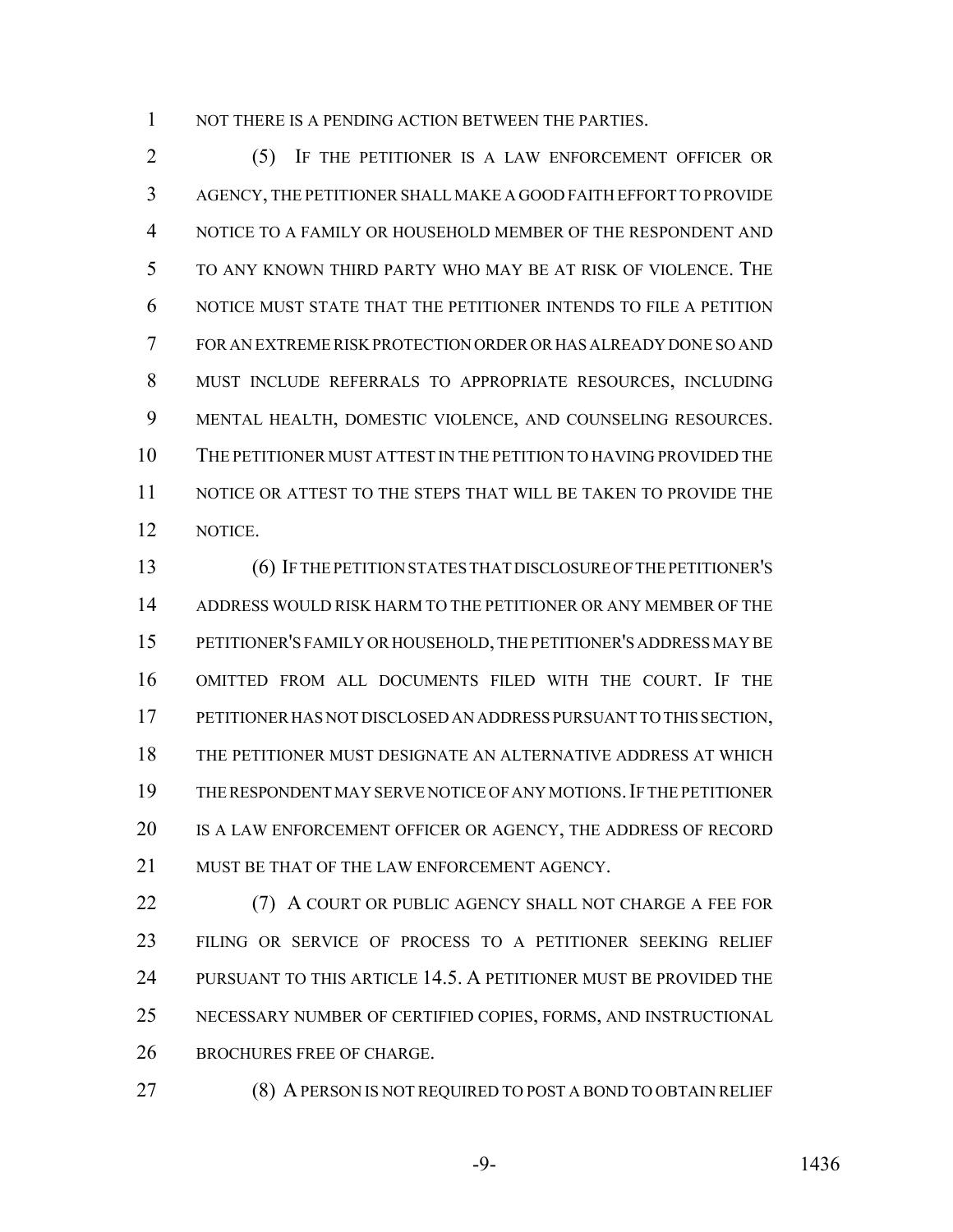1 NOT THERE IS A PENDING ACTION BETWEEN THE PARTIES.

 (5) IF THE PETITIONER IS A LAW ENFORCEMENT OFFICER OR AGENCY, THE PETITIONER SHALL MAKE A GOOD FAITH EFFORT TO PROVIDE NOTICE TO A FAMILY OR HOUSEHOLD MEMBER OF THE RESPONDENT AND TO ANY KNOWN THIRD PARTY WHO MAY BE AT RISK OF VIOLENCE. THE NOTICE MUST STATE THAT THE PETITIONER INTENDS TO FILE A PETITION FOR AN EXTREME RISK PROTECTION ORDER OR HAS ALREADY DONE SO AND MUST INCLUDE REFERRALS TO APPROPRIATE RESOURCES, INCLUDING MENTAL HEALTH, DOMESTIC VIOLENCE, AND COUNSELING RESOURCES. THE PETITIONER MUST ATTEST IN THE PETITION TO HAVING PROVIDED THE NOTICE OR ATTEST TO THE STEPS THAT WILL BE TAKEN TO PROVIDE THE NOTICE.

 (6) IF THE PETITION STATES THAT DISCLOSURE OF THE PETITIONER'S ADDRESS WOULD RISK HARM TO THE PETITIONER OR ANY MEMBER OF THE PETITIONER'S FAMILY OR HOUSEHOLD, THE PETITIONER'S ADDRESS MAY BE OMITTED FROM ALL DOCUMENTS FILED WITH THE COURT. IF THE PETITIONER HAS NOT DISCLOSED AN ADDRESS PURSUANT TO THIS SECTION, THE PETITIONER MUST DESIGNATE AN ALTERNATIVE ADDRESS AT WHICH THE RESPONDENT MAY SERVE NOTICE OF ANY MOTIONS.IF THE PETITIONER IS A LAW ENFORCEMENT OFFICER OR AGENCY, THE ADDRESS OF RECORD MUST BE THAT OF THE LAW ENFORCEMENT AGENCY.

 (7) A COURT OR PUBLIC AGENCY SHALL NOT CHARGE A FEE FOR FILING OR SERVICE OF PROCESS TO A PETITIONER SEEKING RELIEF PURSUANT TO THIS ARTICLE 14.5. A PETITIONER MUST BE PROVIDED THE NECESSARY NUMBER OF CERTIFIED COPIES, FORMS, AND INSTRUCTIONAL BROCHURES FREE OF CHARGE.

(8) A PERSON IS NOT REQUIRED TO POST A BOND TO OBTAIN RELIEF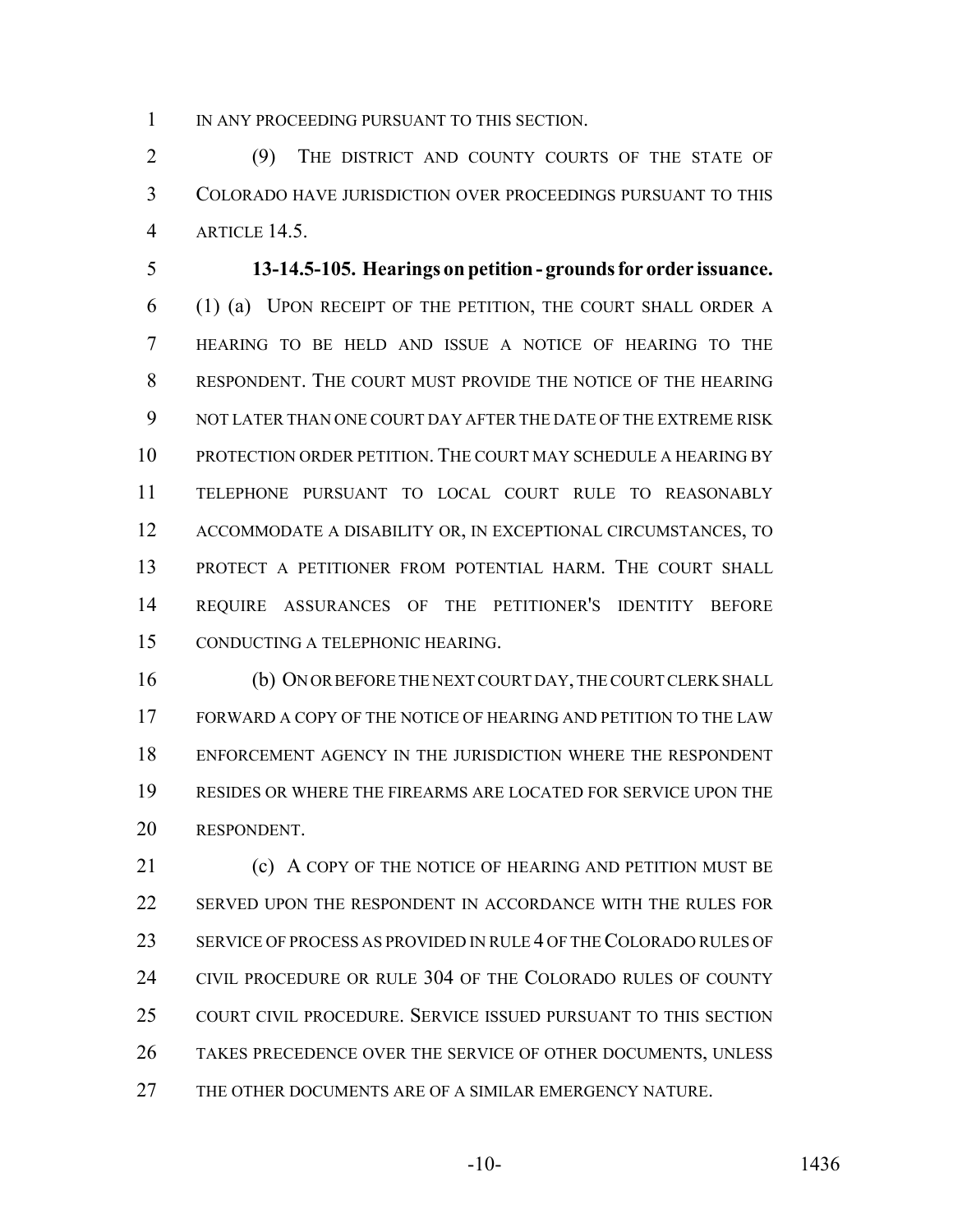1 IN ANY PROCEEDING PURSUANT TO THIS SECTION.

 (9) THE DISTRICT AND COUNTY COURTS OF THE STATE OF COLORADO HAVE JURISDICTION OVER PROCEEDINGS PURSUANT TO THIS ARTICLE 14.5.

 **13-14.5-105. Hearings on petition - grounds for order issuance.** (1) (a) UPON RECEIPT OF THE PETITION, THE COURT SHALL ORDER A HEARING TO BE HELD AND ISSUE A NOTICE OF HEARING TO THE RESPONDENT. THE COURT MUST PROVIDE THE NOTICE OF THE HEARING NOT LATER THAN ONE COURT DAY AFTER THE DATE OF THE EXTREME RISK PROTECTION ORDER PETITION. THE COURT MAY SCHEDULE A HEARING BY TELEPHONE PURSUANT TO LOCAL COURT RULE TO REASONABLY ACCOMMODATE A DISABILITY OR, IN EXCEPTIONAL CIRCUMSTANCES, TO PROTECT A PETITIONER FROM POTENTIAL HARM. THE COURT SHALL REQUIRE ASSURANCES OF THE PETITIONER'S IDENTITY BEFORE CONDUCTING A TELEPHONIC HEARING.

 (b) ON OR BEFORE THE NEXT COURT DAY, THE COURT CLERK SHALL FORWARD A COPY OF THE NOTICE OF HEARING AND PETITION TO THE LAW ENFORCEMENT AGENCY IN THE JURISDICTION WHERE THE RESPONDENT RESIDES OR WHERE THE FIREARMS ARE LOCATED FOR SERVICE UPON THE RESPONDENT.

**(c) A COPY OF THE NOTICE OF HEARING AND PETITION MUST BE**  SERVED UPON THE RESPONDENT IN ACCORDANCE WITH THE RULES FOR SERVICE OF PROCESS AS PROVIDED IN RULE 4 OF THE COLORADO RULES OF CIVIL PROCEDURE OR RULE 304 OF THE COLORADO RULES OF COUNTY COURT CIVIL PROCEDURE. SERVICE ISSUED PURSUANT TO THIS SECTION TAKES PRECEDENCE OVER THE SERVICE OF OTHER DOCUMENTS, UNLESS THE OTHER DOCUMENTS ARE OF A SIMILAR EMERGENCY NATURE.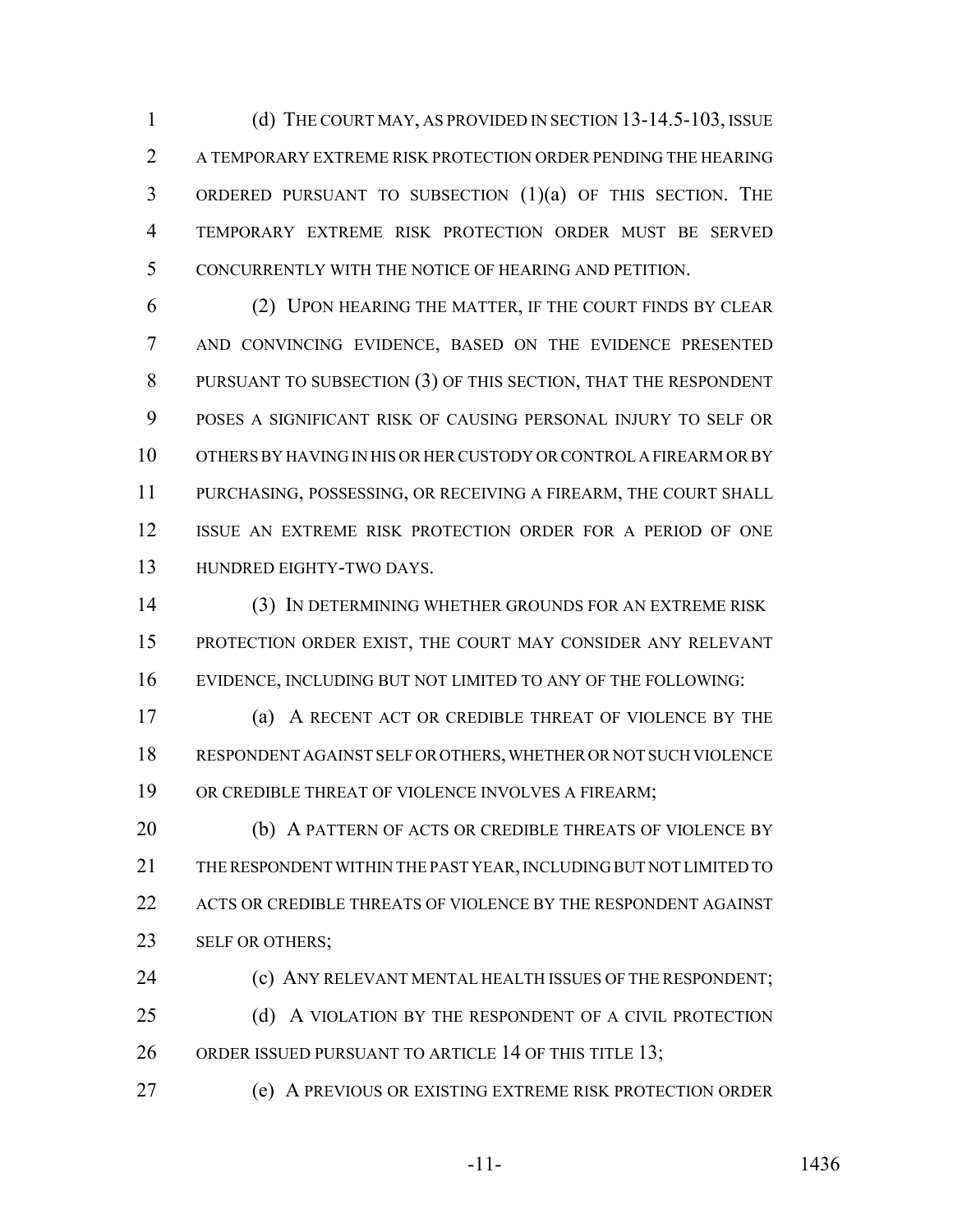(d) THE COURT MAY, AS PROVIDED IN SECTION 13-14.5-103, ISSUE A TEMPORARY EXTREME RISK PROTECTION ORDER PENDING THE HEARING ORDERED PURSUANT TO SUBSECTION (1)(a) OF THIS SECTION. THE TEMPORARY EXTREME RISK PROTECTION ORDER MUST BE SERVED CONCURRENTLY WITH THE NOTICE OF HEARING AND PETITION.

 (2) UPON HEARING THE MATTER, IF THE COURT FINDS BY CLEAR AND CONVINCING EVIDENCE, BASED ON THE EVIDENCE PRESENTED PURSUANT TO SUBSECTION (3) OF THIS SECTION, THAT THE RESPONDENT POSES A SIGNIFICANT RISK OF CAUSING PERSONAL INJURY TO SELF OR OTHERS BY HAVING IN HIS OR HER CUSTODY OR CONTROL A FIREARM OR BY PURCHASING, POSSESSING, OR RECEIVING A FIREARM, THE COURT SHALL ISSUE AN EXTREME RISK PROTECTION ORDER FOR A PERIOD OF ONE HUNDRED EIGHTY-TWO DAYS.

 (3) IN DETERMINING WHETHER GROUNDS FOR AN EXTREME RISK PROTECTION ORDER EXIST, THE COURT MAY CONSIDER ANY RELEVANT EVIDENCE, INCLUDING BUT NOT LIMITED TO ANY OF THE FOLLOWING:

 (a) A RECENT ACT OR CREDIBLE THREAT OF VIOLENCE BY THE RESPONDENT AGAINST SELF OR OTHERS, WHETHER OR NOT SUCH VIOLENCE OR CREDIBLE THREAT OF VIOLENCE INVOLVES A FIREARM;

20 (b) A PATTERN OF ACTS OR CREDIBLE THREATS OF VIOLENCE BY THE RESPONDENT WITHIN THE PAST YEAR, INCLUDING BUT NOT LIMITED TO ACTS OR CREDIBLE THREATS OF VIOLENCE BY THE RESPONDENT AGAINST 23 SELF OR OTHERS;

**(c) ANY RELEVANT MENTAL HEALTH ISSUES OF THE RESPONDENT;** 25 (d) A VIOLATION BY THE RESPONDENT OF A CIVIL PROTECTION

26 ORDER ISSUED PURSUANT TO ARTICLE 14 OF THIS TITLE 13;

(e) A PREVIOUS OR EXISTING EXTREME RISK PROTECTION ORDER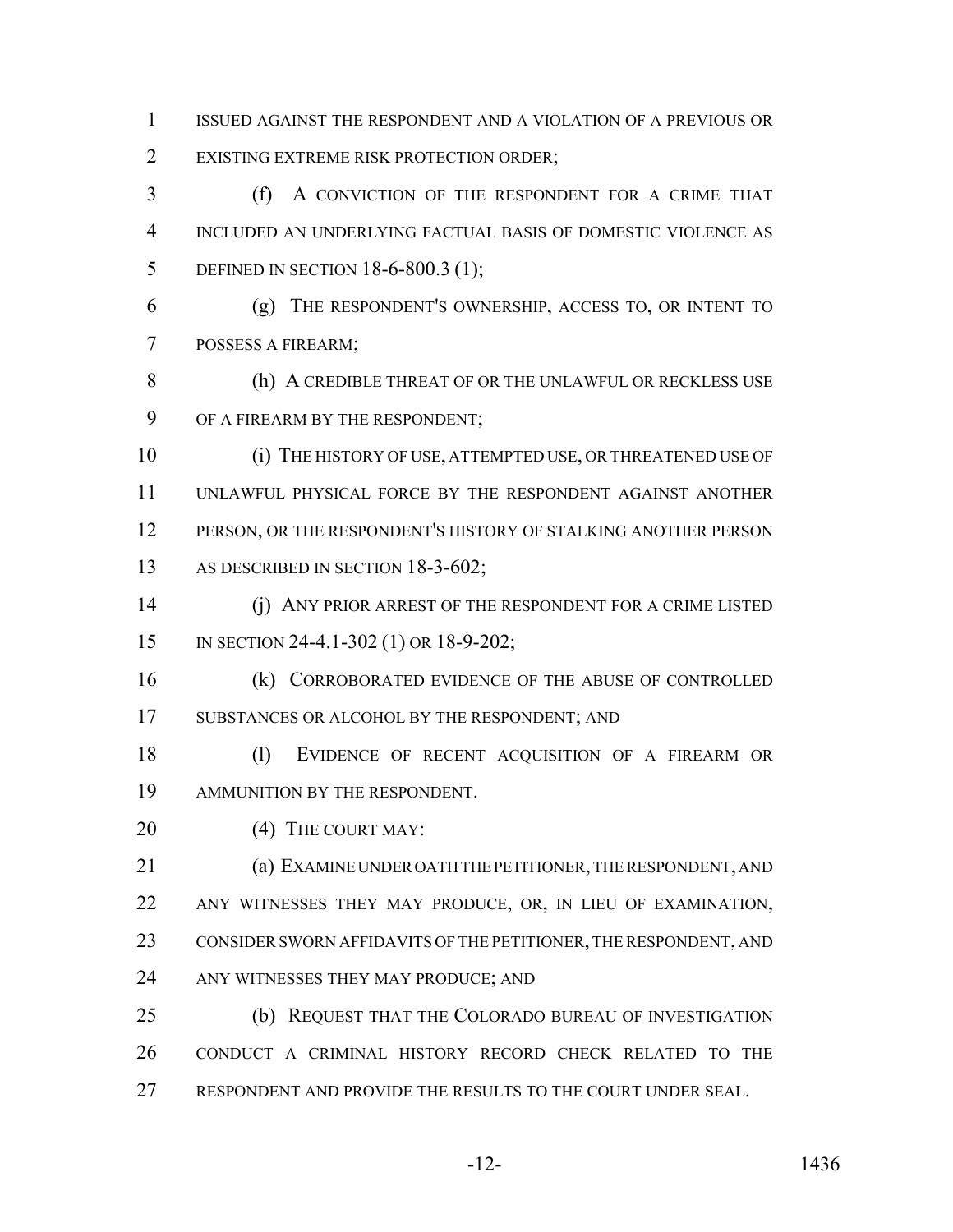ISSUED AGAINST THE RESPONDENT AND A VIOLATION OF A PREVIOUS OR EXISTING EXTREME RISK PROTECTION ORDER;

 (f) A CONVICTION OF THE RESPONDENT FOR A CRIME THAT INCLUDED AN UNDERLYING FACTUAL BASIS OF DOMESTIC VIOLENCE AS 5 DEFINED IN SECTION 18-6-800.3 (1);

 (g) THE RESPONDENT'S OWNERSHIP, ACCESS TO, OR INTENT TO POSSESS A FIREARM;

8 (h) A CREDIBLE THREAT OF OR THE UNLAWFUL OR RECKLESS USE OF A FIREARM BY THE RESPONDENT;

 (i) THE HISTORY OF USE, ATTEMPTED USE, OR THREATENED USE OF UNLAWFUL PHYSICAL FORCE BY THE RESPONDENT AGAINST ANOTHER 12 PERSON, OR THE RESPONDENT'S HISTORY OF STALKING ANOTHER PERSON 13 AS DESCRIBED IN SECTION 18-3-602;

 (j) ANY PRIOR ARREST OF THE RESPONDENT FOR A CRIME LISTED IN SECTION 24-4.1-302 (1) OR 18-9-202;

 (k) CORROBORATED EVIDENCE OF THE ABUSE OF CONTROLLED SUBSTANCES OR ALCOHOL BY THE RESPONDENT; AND

18 (1) EVIDENCE OF RECENT ACQUISITION OF A FIREARM OR AMMUNITION BY THE RESPONDENT.

20 (4) THE COURT MAY:

 (a) EXAMINE UNDER OATH THE PETITIONER, THE RESPONDENT, AND ANY WITNESSES THEY MAY PRODUCE, OR, IN LIEU OF EXAMINATION, CONSIDER SWORN AFFIDAVITS OF THE PETITIONER, THE RESPONDENT, AND ANY WITNESSES THEY MAY PRODUCE; AND

 (b) REQUEST THAT THE COLORADO BUREAU OF INVESTIGATION CONDUCT A CRIMINAL HISTORY RECORD CHECK RELATED TO THE RESPONDENT AND PROVIDE THE RESULTS TO THE COURT UNDER SEAL.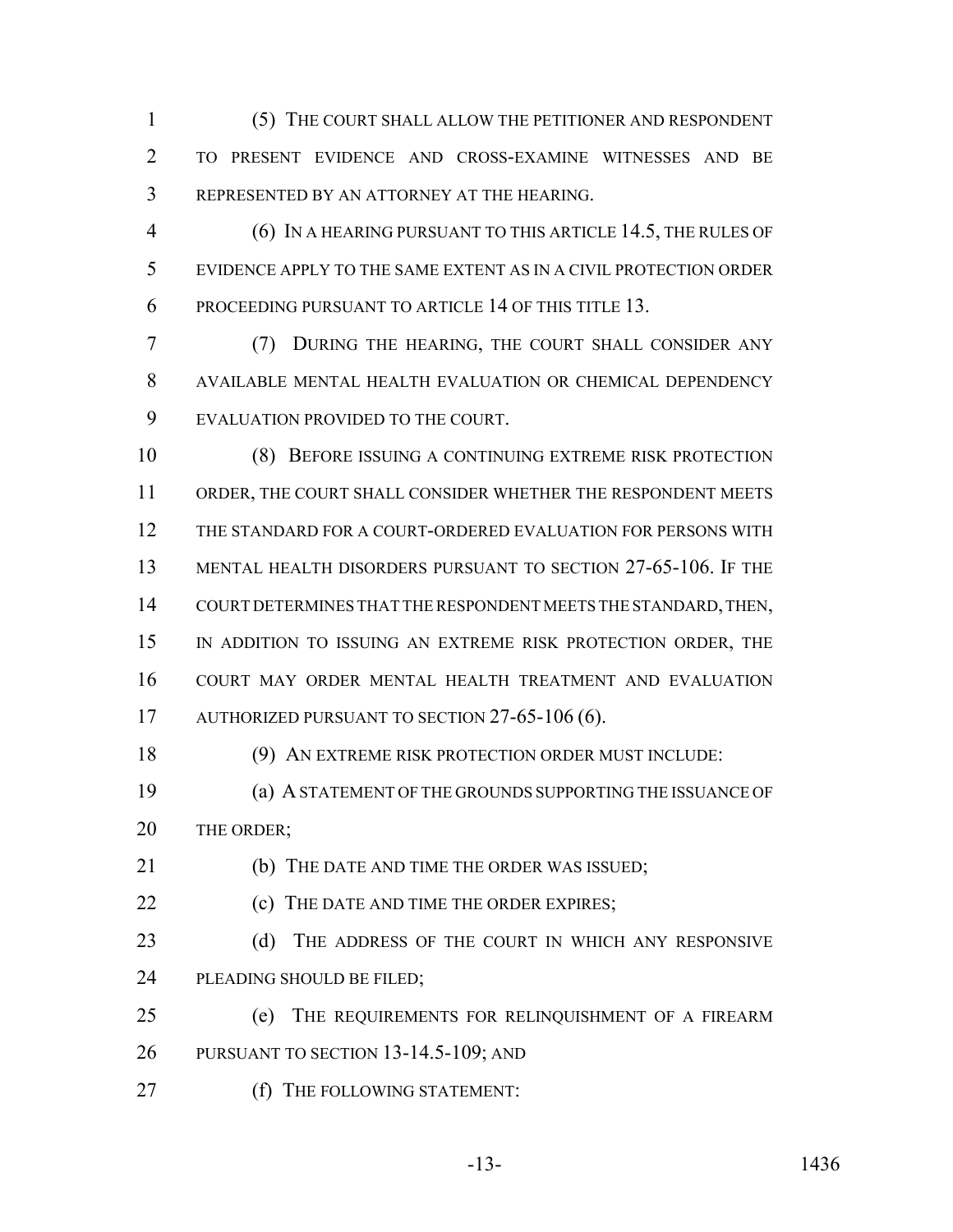(5) THE COURT SHALL ALLOW THE PETITIONER AND RESPONDENT TO PRESENT EVIDENCE AND CROSS-EXAMINE WITNESSES AND BE REPRESENTED BY AN ATTORNEY AT THE HEARING.

 (6) IN A HEARING PURSUANT TO THIS ARTICLE 14.5, THE RULES OF EVIDENCE APPLY TO THE SAME EXTENT AS IN A CIVIL PROTECTION ORDER PROCEEDING PURSUANT TO ARTICLE 14 OF THIS TITLE 13.

 (7) DURING THE HEARING, THE COURT SHALL CONSIDER ANY AVAILABLE MENTAL HEALTH EVALUATION OR CHEMICAL DEPENDENCY EVALUATION PROVIDED TO THE COURT.

 (8) BEFORE ISSUING A CONTINUING EXTREME RISK PROTECTION ORDER, THE COURT SHALL CONSIDER WHETHER THE RESPONDENT MEETS THE STANDARD FOR A COURT-ORDERED EVALUATION FOR PERSONS WITH MENTAL HEALTH DISORDERS PURSUANT TO SECTION 27-65-106. IF THE COURT DETERMINES THAT THE RESPONDENT MEETS THE STANDARD, THEN, IN ADDITION TO ISSUING AN EXTREME RISK PROTECTION ORDER, THE COURT MAY ORDER MENTAL HEALTH TREATMENT AND EVALUATION 17 AUTHORIZED PURSUANT TO SECTION 27-65-106 (6).

(9) AN EXTREME RISK PROTECTION ORDER MUST INCLUDE:

 (a) A STATEMENT OF THE GROUNDS SUPPORTING THE ISSUANCE OF 20 THE ORDER;

(b) THE DATE AND TIME THE ORDER WAS ISSUED;

**(c)** THE DATE AND TIME THE ORDER EXPIRES;

23 (d) THE ADDRESS OF THE COURT IN WHICH ANY RESPONSIVE PLEADING SHOULD BE FILED;

 (e) THE REQUIREMENTS FOR RELINQUISHMENT OF A FIREARM PURSUANT TO SECTION 13-14.5-109; AND

27 (f) THE FOLLOWING STATEMENT: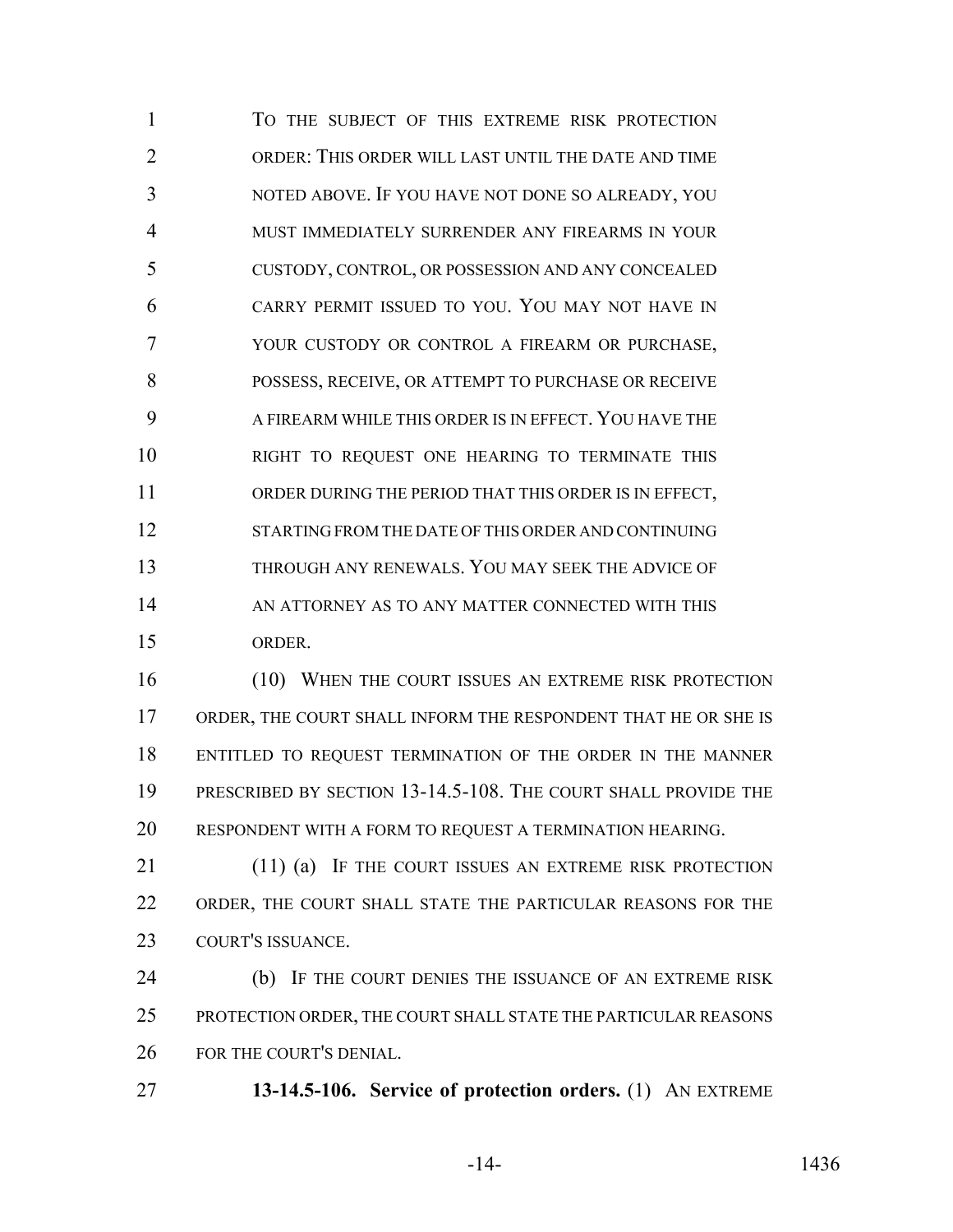TO THE SUBJECT OF THIS EXTREME RISK PROTECTION ORDER: THIS ORDER WILL LAST UNTIL THE DATE AND TIME NOTED ABOVE. IF YOU HAVE NOT DONE SO ALREADY, YOU MUST IMMEDIATELY SURRENDER ANY FIREARMS IN YOUR CUSTODY, CONTROL, OR POSSESSION AND ANY CONCEALED CARRY PERMIT ISSUED TO YOU. YOU MAY NOT HAVE IN YOUR CUSTODY OR CONTROL A FIREARM OR PURCHASE, POSSESS, RECEIVE, OR ATTEMPT TO PURCHASE OR RECEIVE A FIREARM WHILE THIS ORDER IS IN EFFECT. YOU HAVE THE RIGHT TO REQUEST ONE HEARING TO TERMINATE THIS ORDER DURING THE PERIOD THAT THIS ORDER IS IN EFFECT, STARTING FROM THE DATE OF THIS ORDER AND CONTINUING THROUGH ANY RENEWALS. YOU MAY SEEK THE ADVICE OF 14 AN ATTORNEY AS TO ANY MATTER CONNECTED WITH THIS ORDER.

 (10) WHEN THE COURT ISSUES AN EXTREME RISK PROTECTION ORDER, THE COURT SHALL INFORM THE RESPONDENT THAT HE OR SHE IS ENTITLED TO REQUEST TERMINATION OF THE ORDER IN THE MANNER PRESCRIBED BY SECTION 13-14.5-108. THE COURT SHALL PROVIDE THE RESPONDENT WITH A FORM TO REQUEST A TERMINATION HEARING.

21 (11) (a) IF THE COURT ISSUES AN EXTREME RISK PROTECTION ORDER, THE COURT SHALL STATE THE PARTICULAR REASONS FOR THE COURT'S ISSUANCE.

 (b) IF THE COURT DENIES THE ISSUANCE OF AN EXTREME RISK PROTECTION ORDER, THE COURT SHALL STATE THE PARTICULAR REASONS FOR THE COURT'S DENIAL.

**13-14.5-106. Service of protection orders.** (1) AN EXTREME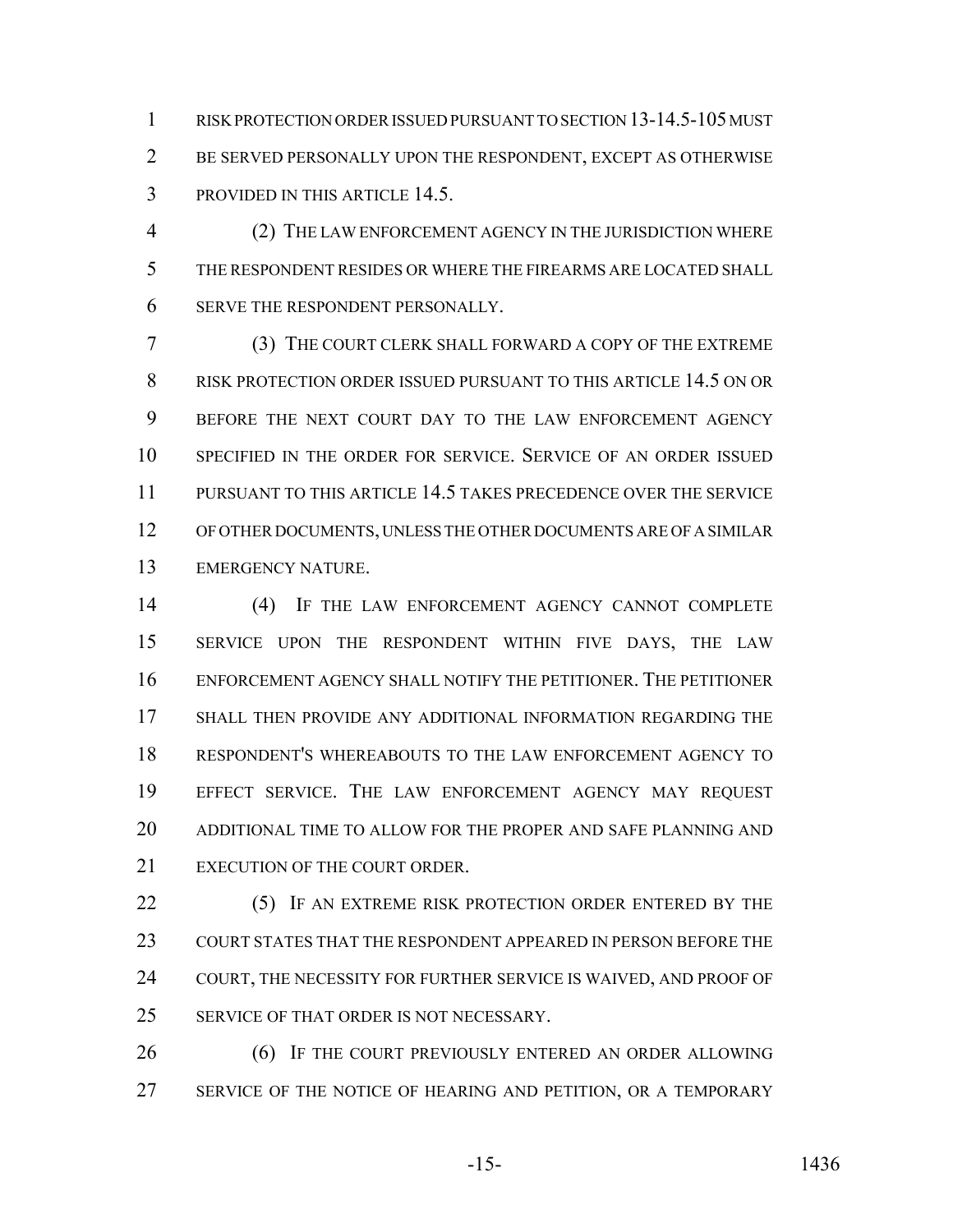RISK PROTECTION ORDER ISSUED PURSUANT TO SECTION 13-14.5-105 MUST BE SERVED PERSONALLY UPON THE RESPONDENT, EXCEPT AS OTHERWISE PROVIDED IN THIS ARTICLE 14.5.

 (2) THE LAW ENFORCEMENT AGENCY IN THE JURISDICTION WHERE THE RESPONDENT RESIDES OR WHERE THE FIREARMS ARE LOCATED SHALL SERVE THE RESPONDENT PERSONALLY.

 (3) THE COURT CLERK SHALL FORWARD A COPY OF THE EXTREME RISK PROTECTION ORDER ISSUED PURSUANT TO THIS ARTICLE 14.5 ON OR BEFORE THE NEXT COURT DAY TO THE LAW ENFORCEMENT AGENCY SPECIFIED IN THE ORDER FOR SERVICE. SERVICE OF AN ORDER ISSUED PURSUANT TO THIS ARTICLE 14.5 TAKES PRECEDENCE OVER THE SERVICE OF OTHER DOCUMENTS, UNLESS THE OTHER DOCUMENTS ARE OF A SIMILAR EMERGENCY NATURE.

 (4) IF THE LAW ENFORCEMENT AGENCY CANNOT COMPLETE SERVICE UPON THE RESPONDENT WITHIN FIVE DAYS, THE LAW ENFORCEMENT AGENCY SHALL NOTIFY THE PETITIONER. THE PETITIONER SHALL THEN PROVIDE ANY ADDITIONAL INFORMATION REGARDING THE RESPONDENT'S WHEREABOUTS TO THE LAW ENFORCEMENT AGENCY TO EFFECT SERVICE. THE LAW ENFORCEMENT AGENCY MAY REQUEST ADDITIONAL TIME TO ALLOW FOR THE PROPER AND SAFE PLANNING AND EXECUTION OF THE COURT ORDER.

22 (5) IF AN EXTREME RISK PROTECTION ORDER ENTERED BY THE COURT STATES THAT THE RESPONDENT APPEARED IN PERSON BEFORE THE COURT, THE NECESSITY FOR FURTHER SERVICE IS WAIVED, AND PROOF OF 25 SERVICE OF THAT ORDER IS NOT NECESSARY.

**(6)** IF THE COURT PREVIOUSLY ENTERED AN ORDER ALLOWING 27 SERVICE OF THE NOTICE OF HEARING AND PETITION, OR A TEMPORARY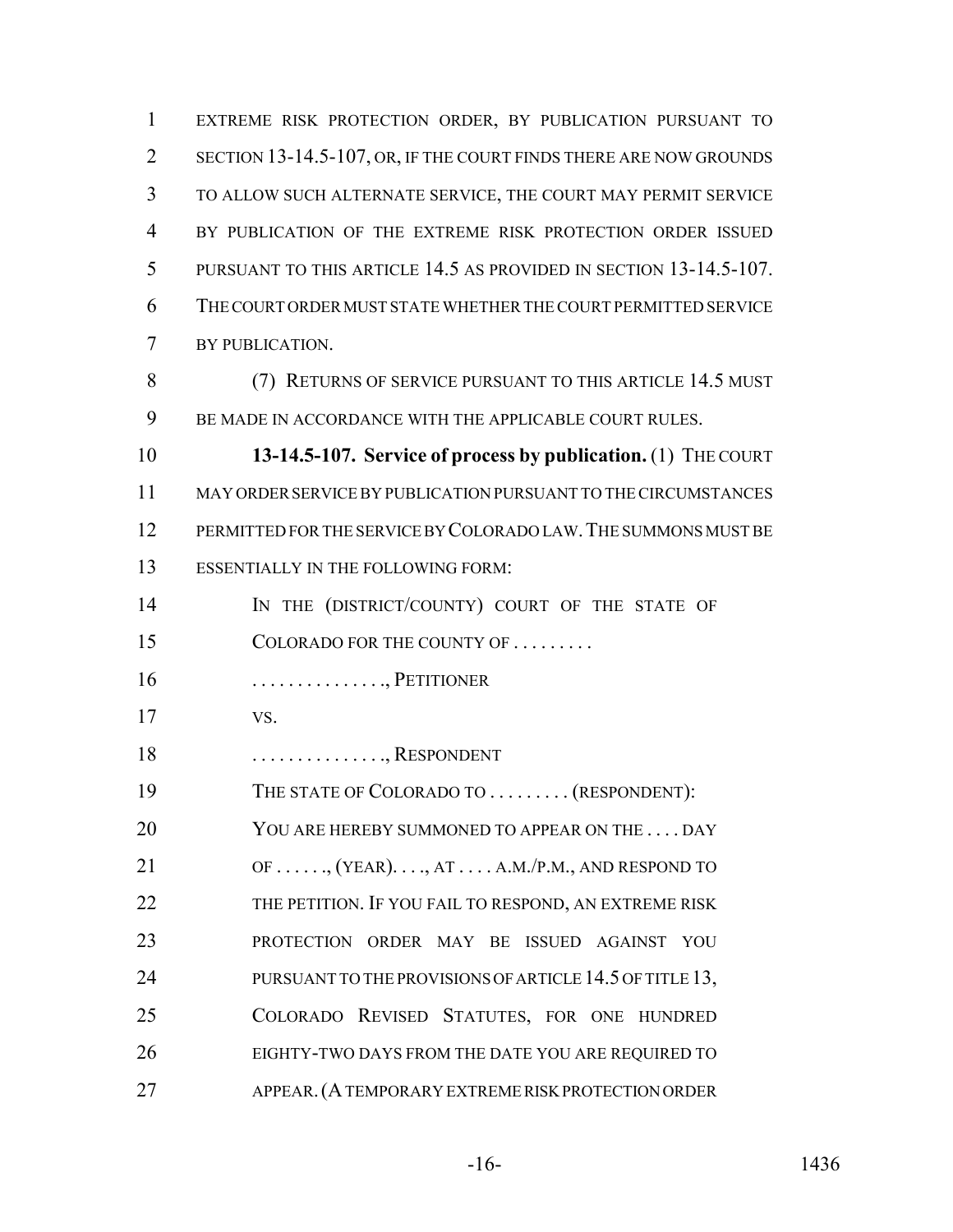EXTREME RISK PROTECTION ORDER, BY PUBLICATION PURSUANT TO 2 SECTION 13-14.5-107, OR, IF THE COURT FINDS THERE ARE NOW GROUNDS TO ALLOW SUCH ALTERNATE SERVICE, THE COURT MAY PERMIT SERVICE BY PUBLICATION OF THE EXTREME RISK PROTECTION ORDER ISSUED PURSUANT TO THIS ARTICLE 14.5 AS PROVIDED IN SECTION 13-14.5-107. THE COURT ORDER MUST STATE WHETHER THE COURT PERMITTED SERVICE BY PUBLICATION. (7) RETURNS OF SERVICE PURSUANT TO THIS ARTICLE 14.5 MUST 9 BE MADE IN ACCORDANCE WITH THE APPLICABLE COURT RULES. **13-14.5-107. Service of process by publication.** (1) THE COURT MAY ORDER SERVICE BY PUBLICATION PURSUANT TO THE CIRCUMSTANCES PERMITTED FOR THE SERVICE BY COLORADO LAW.THE SUMMONS MUST BE ESSENTIALLY IN THE FOLLOWING FORM: 14 IN THE (DISTRICT/COUNTY) COURT OF THE STATE OF 15 COLORADO FOR THE COUNTY OF . . . . . . . . .

- . . . . . . . . . . . . . . ., PETITIONER
- VS.
- 18 . . . . . . . . . . . . . . . RESPONDENT
- 19 THE STATE OF COLORADO TO . . . . . . . . . (RESPONDENT):
- 20 YOU ARE HEREBY SUMMONED TO APPEAR ON THE . . . . DAY
- 21  $OF \ldots$ ,  $(YEAR) \ldots$ ,  $AT \ldots$ ,  $A.M./P.M.,$  AND RESPOND TO 22 THE PETITION. IF YOU FAIL TO RESPOND, AN EXTREME RISK PROTECTION ORDER MAY BE ISSUED AGAINST YOU 24 PURSUANT TO THE PROVISIONS OF ARTICLE 14.5 OF TITLE 13, COLORADO REVISED STATUTES, FOR ONE HUNDRED EIGHTY-TWO DAYS FROM THE DATE YOU ARE REQUIRED TO APPEAR.(A TEMPORARY EXTREME RISK PROTECTION ORDER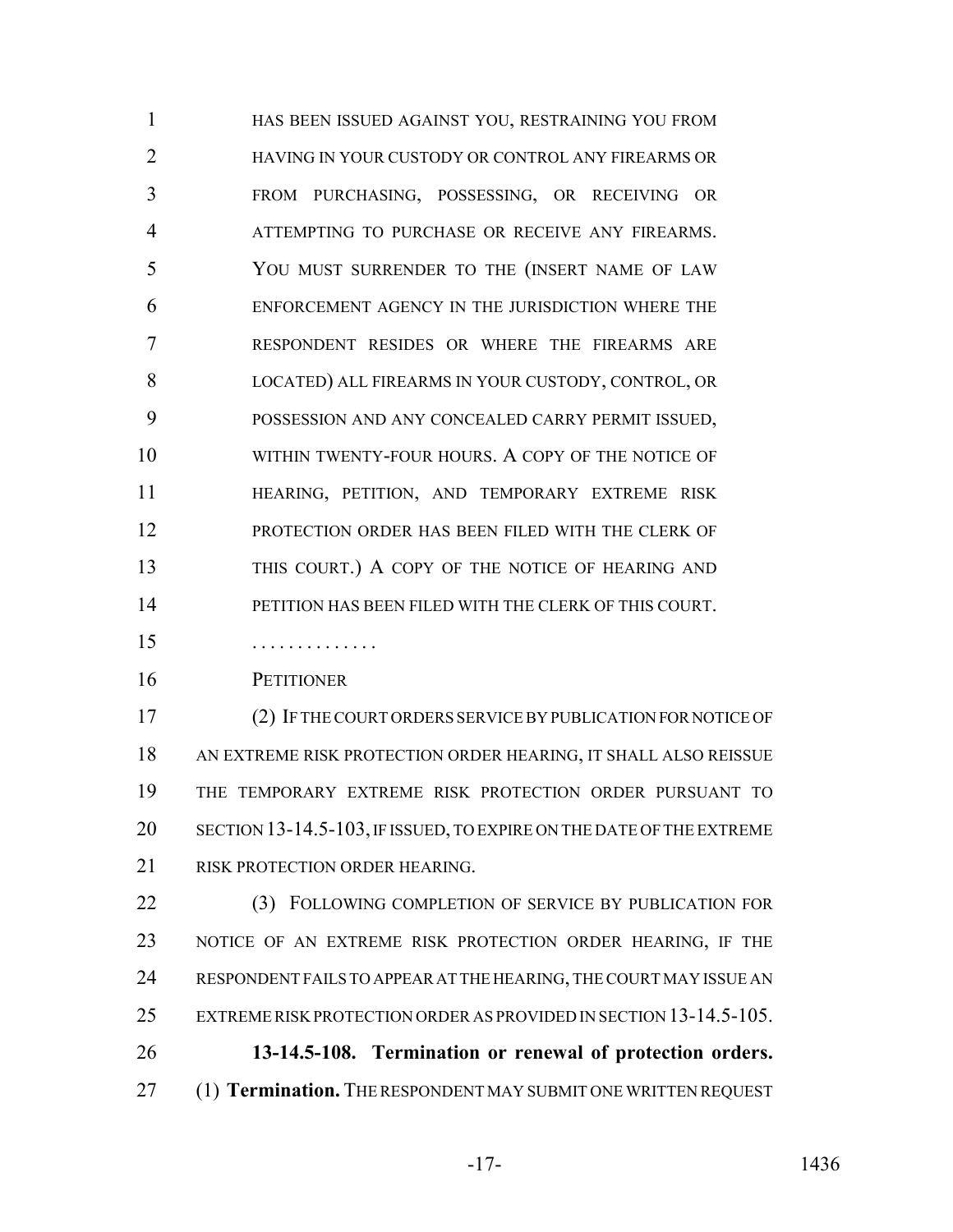HAS BEEN ISSUED AGAINST YOU, RESTRAINING YOU FROM HAVING IN YOUR CUSTODY OR CONTROL ANY FIREARMS OR FROM PURCHASING, POSSESSING, OR RECEIVING OR ATTEMPTING TO PURCHASE OR RECEIVE ANY FIREARMS. YOU MUST SURRENDER TO THE (INSERT NAME OF LAW ENFORCEMENT AGENCY IN THE JURISDICTION WHERE THE RESPONDENT RESIDES OR WHERE THE FIREARMS ARE LOCATED) ALL FIREARMS IN YOUR CUSTODY, CONTROL, OR POSSESSION AND ANY CONCEALED CARRY PERMIT ISSUED, 10 WITHIN TWENTY-FOUR HOURS. A COPY OF THE NOTICE OF HEARING, PETITION, AND TEMPORARY EXTREME RISK PROTECTION ORDER HAS BEEN FILED WITH THE CLERK OF 13 THIS COURT.) A COPY OF THE NOTICE OF HEARING AND PETITION HAS BEEN FILED WITH THE CLERK OF THIS COURT.

. . . . . . . . . . . . . .

PETITIONER

 (2) IF THE COURT ORDERS SERVICE BY PUBLICATION FOR NOTICE OF AN EXTREME RISK PROTECTION ORDER HEARING, IT SHALL ALSO REISSUE THE TEMPORARY EXTREME RISK PROTECTION ORDER PURSUANT TO SECTION 13-14.5-103, IF ISSUED, TO EXPIRE ON THE DATE OF THE EXTREME 21 RISK PROTECTION ORDER HEARING.

22 (3) FOLLOWING COMPLETION OF SERVICE BY PUBLICATION FOR NOTICE OF AN EXTREME RISK PROTECTION ORDER HEARING, IF THE RESPONDENT FAILS TO APPEAR AT THE HEARING, THE COURT MAY ISSUE AN EXTREME RISK PROTECTION ORDER AS PROVIDED IN SECTION 13-14.5-105. **13-14.5-108. Termination or renewal of protection orders.** (1) **Termination.** THE RESPONDENT MAY SUBMIT ONE WRITTEN REQUEST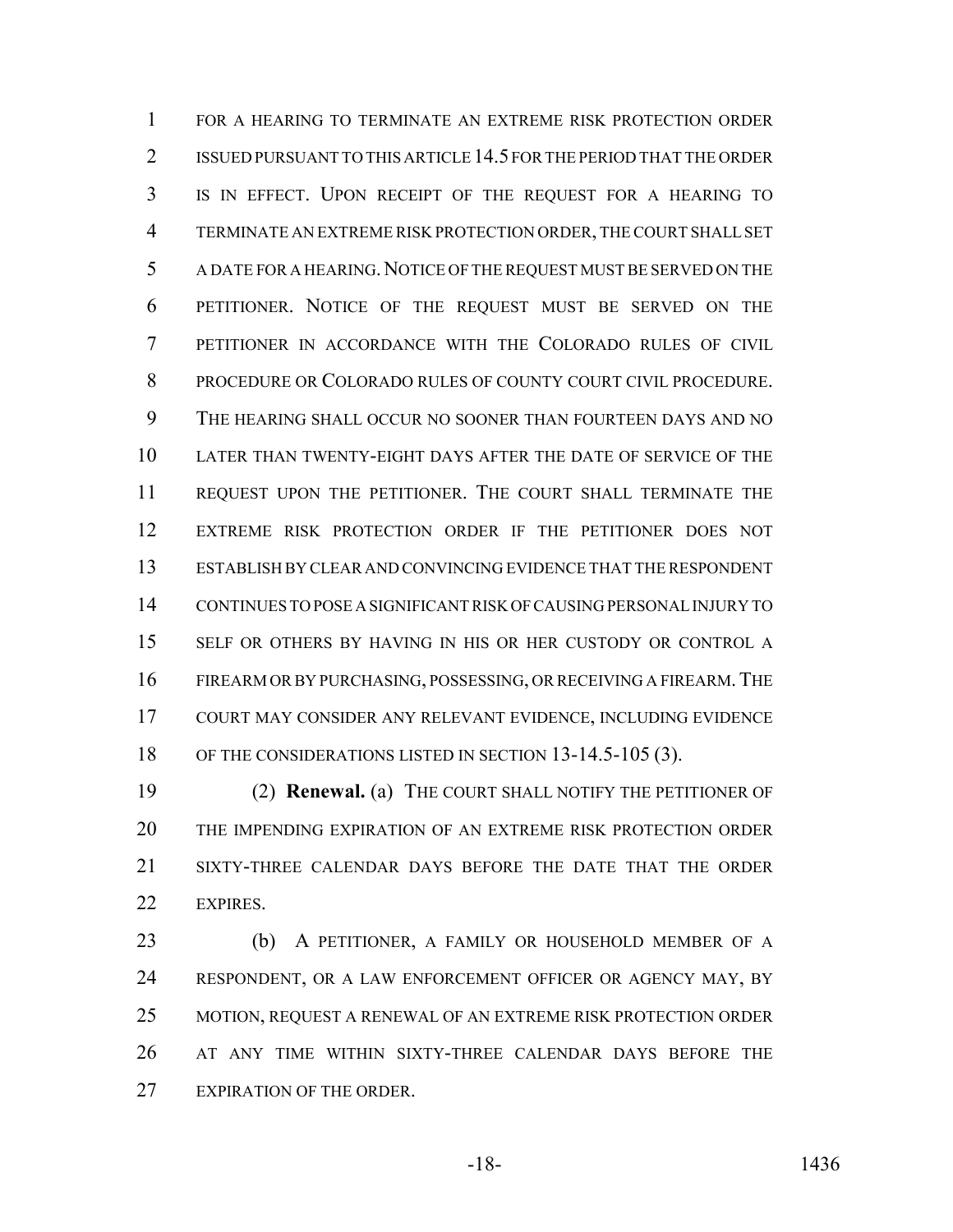FOR A HEARING TO TERMINATE AN EXTREME RISK PROTECTION ORDER ISSUED PURSUANT TO THIS ARTICLE 14.5 FOR THE PERIOD THAT THE ORDER IS IN EFFECT. UPON RECEIPT OF THE REQUEST FOR A HEARING TO TERMINATE AN EXTREME RISK PROTECTION ORDER, THE COURT SHALL SET A DATE FOR A HEARING.NOTICE OF THE REQUEST MUST BE SERVED ON THE PETITIONER. NOTICE OF THE REQUEST MUST BE SERVED ON THE PETITIONER IN ACCORDANCE WITH THE COLORADO RULES OF CIVIL PROCEDURE OR COLORADO RULES OF COUNTY COURT CIVIL PROCEDURE. THE HEARING SHALL OCCUR NO SOONER THAN FOURTEEN DAYS AND NO LATER THAN TWENTY-EIGHT DAYS AFTER THE DATE OF SERVICE OF THE REQUEST UPON THE PETITIONER. THE COURT SHALL TERMINATE THE EXTREME RISK PROTECTION ORDER IF THE PETITIONER DOES NOT ESTABLISH BY CLEAR AND CONVINCING EVIDENCE THAT THE RESPONDENT CONTINUES TO POSE A SIGNIFICANT RISK OF CAUSING PERSONAL INJURY TO SELF OR OTHERS BY HAVING IN HIS OR HER CUSTODY OR CONTROL A FIREARM OR BY PURCHASING, POSSESSING, OR RECEIVING A FIREARM.THE COURT MAY CONSIDER ANY RELEVANT EVIDENCE, INCLUDING EVIDENCE 18 OF THE CONSIDERATIONS LISTED IN SECTION 13-14.5-105 (3).

 (2) **Renewal.** (a) THE COURT SHALL NOTIFY THE PETITIONER OF THE IMPENDING EXPIRATION OF AN EXTREME RISK PROTECTION ORDER SIXTY-THREE CALENDAR DAYS BEFORE THE DATE THAT THE ORDER EXPIRES.

 (b) A PETITIONER, A FAMILY OR HOUSEHOLD MEMBER OF A 24 RESPONDENT, OR A LAW ENFORCEMENT OFFICER OR AGENCY MAY, BY MOTION, REQUEST A RENEWAL OF AN EXTREME RISK PROTECTION ORDER AT ANY TIME WITHIN SIXTY-THREE CALENDAR DAYS BEFORE THE EXPIRATION OF THE ORDER.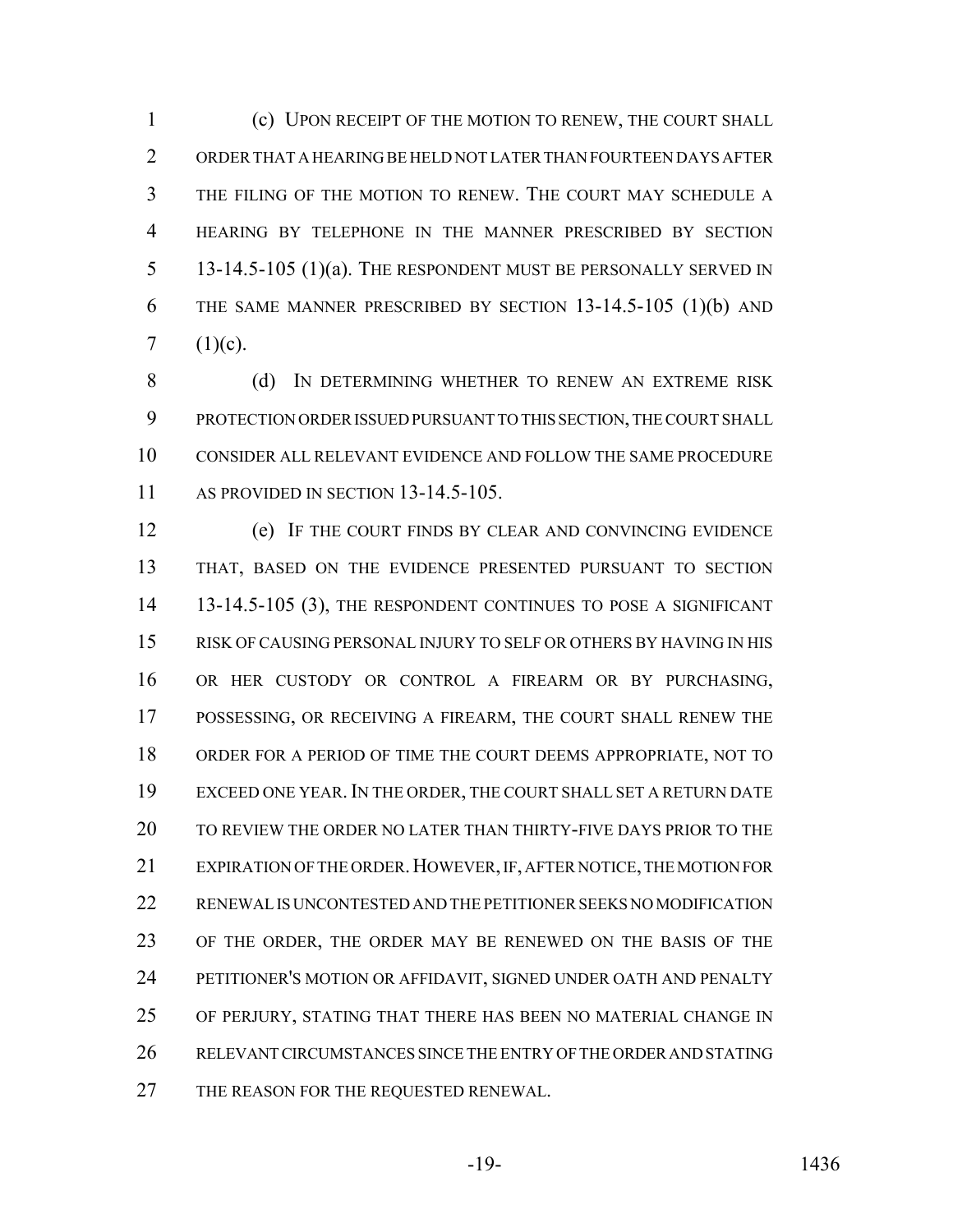(c) UPON RECEIPT OF THE MOTION TO RENEW, THE COURT SHALL ORDER THAT A HEARING BE HELD NOT LATER THAN FOURTEEN DAYS AFTER THE FILING OF THE MOTION TO RENEW. THE COURT MAY SCHEDULE A HEARING BY TELEPHONE IN THE MANNER PRESCRIBED BY SECTION 5 13-14.5-105 (1)(a). THE RESPONDENT MUST BE PERSONALLY SERVED IN THE SAME MANNER PRESCRIBED BY SECTION 13-14.5-105 (1)(b) AND 7  $(1)(c)$ .

8 (d) IN DETERMINING WHETHER TO RENEW AN EXTREME RISK PROTECTION ORDER ISSUED PURSUANT TO THIS SECTION, THE COURT SHALL CONSIDER ALL RELEVANT EVIDENCE AND FOLLOW THE SAME PROCEDURE 11 AS PROVIDED IN SECTION 13-14.5-105.

 (e) IF THE COURT FINDS BY CLEAR AND CONVINCING EVIDENCE THAT, BASED ON THE EVIDENCE PRESENTED PURSUANT TO SECTION 13-14.5-105 (3), THE RESPONDENT CONTINUES TO POSE A SIGNIFICANT RISK OF CAUSING PERSONAL INJURY TO SELF OR OTHERS BY HAVING IN HIS OR HER CUSTODY OR CONTROL A FIREARM OR BY PURCHASING, POSSESSING, OR RECEIVING A FIREARM, THE COURT SHALL RENEW THE ORDER FOR A PERIOD OF TIME THE COURT DEEMS APPROPRIATE, NOT TO EXCEED ONE YEAR.IN THE ORDER, THE COURT SHALL SET A RETURN DATE TO REVIEW THE ORDER NO LATER THAN THIRTY-FIVE DAYS PRIOR TO THE 21 EXPIRATION OF THE ORDER. HOWEVER, IF, AFTER NOTICE, THE MOTION FOR RENEWAL IS UNCONTESTED AND THE PETITIONER SEEKS NO MODIFICATION OF THE ORDER, THE ORDER MAY BE RENEWED ON THE BASIS OF THE PETITIONER'S MOTION OR AFFIDAVIT, SIGNED UNDER OATH AND PENALTY OF PERJURY, STATING THAT THERE HAS BEEN NO MATERIAL CHANGE IN RELEVANT CIRCUMSTANCES SINCE THE ENTRY OF THE ORDER AND STATING THE REASON FOR THE REQUESTED RENEWAL.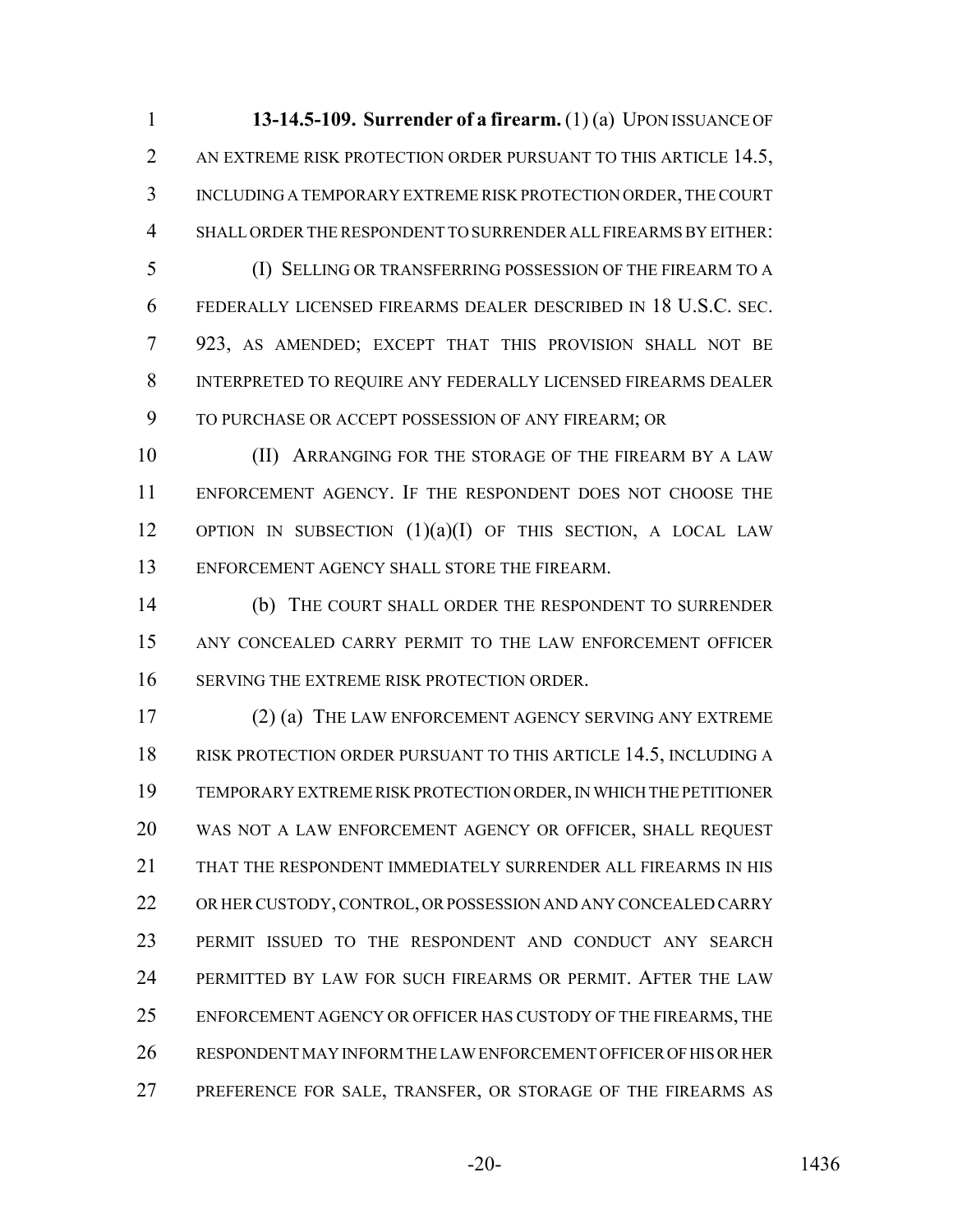**13-14.5-109. Surrender of a firearm.** (1) (a) UPON ISSUANCE OF 2 AN EXTREME RISK PROTECTION ORDER PURSUANT TO THIS ARTICLE 14.5, INCLUDING A TEMPORARY EXTREME RISK PROTECTION ORDER, THE COURT SHALL ORDER THE RESPONDENT TO SURRENDER ALL FIREARMS BY EITHER:

 (I) SELLING OR TRANSFERRING POSSESSION OF THE FIREARM TO A FEDERALLY LICENSED FIREARMS DEALER DESCRIBED IN 18 U.S.C. SEC. 923, AS AMENDED; EXCEPT THAT THIS PROVISION SHALL NOT BE INTERPRETED TO REQUIRE ANY FEDERALLY LICENSED FIREARMS DEALER TO PURCHASE OR ACCEPT POSSESSION OF ANY FIREARM; OR

10 (II) ARRANGING FOR THE STORAGE OF THE FIREARM BY A LAW ENFORCEMENT AGENCY. IF THE RESPONDENT DOES NOT CHOOSE THE 12 OPTION IN SUBSECTION (1)(a)(I) OF THIS SECTION, A LOCAL LAW ENFORCEMENT AGENCY SHALL STORE THE FIREARM.

 (b) THE COURT SHALL ORDER THE RESPONDENT TO SURRENDER ANY CONCEALED CARRY PERMIT TO THE LAW ENFORCEMENT OFFICER SERVING THE EXTREME RISK PROTECTION ORDER.

 (2) (a) THE LAW ENFORCEMENT AGENCY SERVING ANY EXTREME RISK PROTECTION ORDER PURSUANT TO THIS ARTICLE 14.5, INCLUDING A TEMPORARY EXTREME RISK PROTECTION ORDER, IN WHICH THE PETITIONER WAS NOT A LAW ENFORCEMENT AGENCY OR OFFICER, SHALL REQUEST THAT THE RESPONDENT IMMEDIATELY SURRENDER ALL FIREARMS IN HIS OR HER CUSTODY, CONTROL, OR POSSESSION AND ANY CONCEALED CARRY PERMIT ISSUED TO THE RESPONDENT AND CONDUCT ANY SEARCH 24 PERMITTED BY LAW FOR SUCH FIREARMS OR PERMIT. AFTER THE LAW ENFORCEMENT AGENCY OR OFFICER HAS CUSTODY OF THE FIREARMS, THE RESPONDENT MAY INFORM THE LAW ENFORCEMENT OFFICER OF HIS OR HER PREFERENCE FOR SALE, TRANSFER, OR STORAGE OF THE FIREARMS AS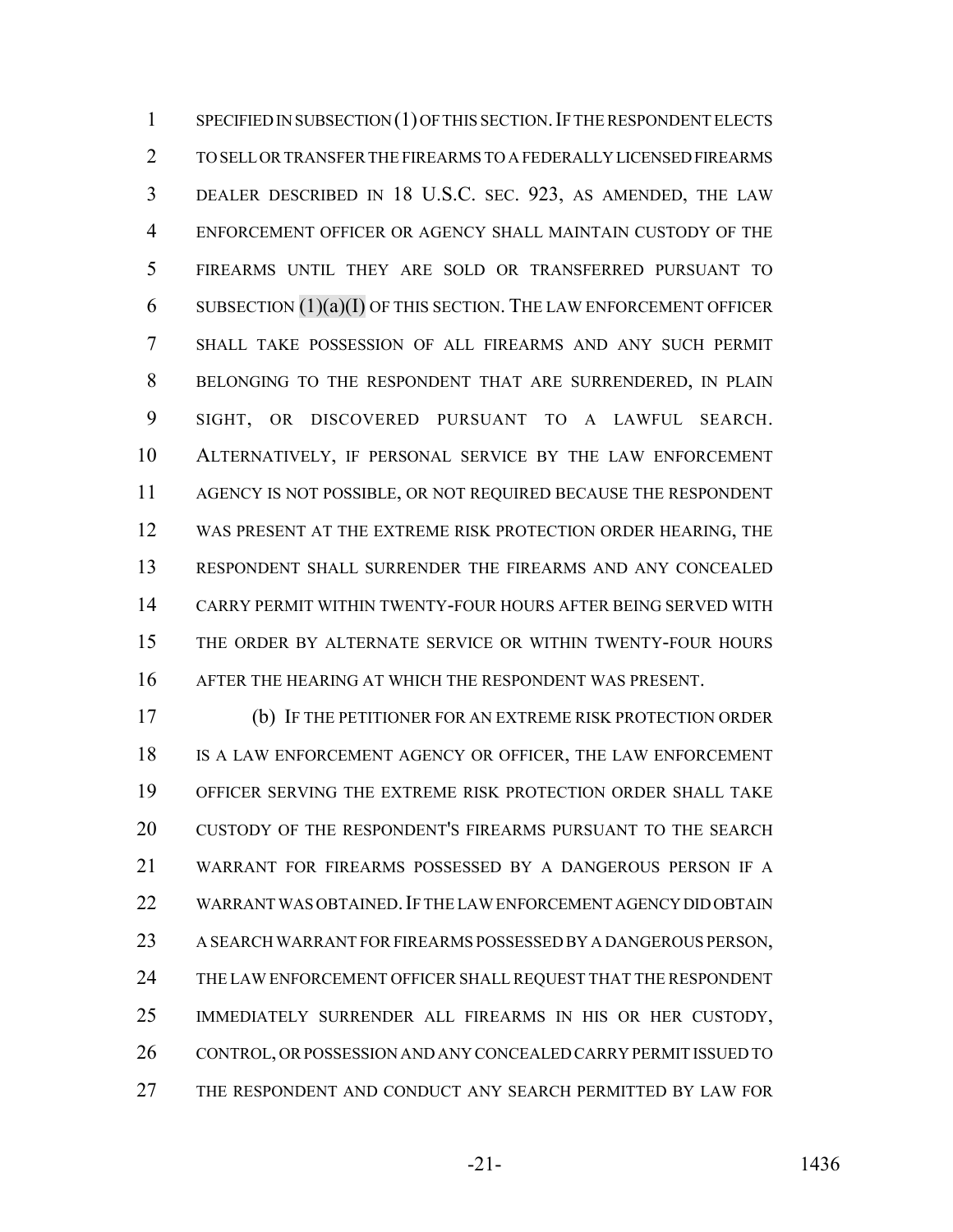1 SPECIFIED IN SUBSECTION (1) OF THIS SECTION. IF THE RESPONDENT ELECTS TO SELL OR TRANSFER THE FIREARMS TO A FEDERALLY LICENSED FIREARMS DEALER DESCRIBED IN 18 U.S.C. SEC. 923, AS AMENDED, THE LAW ENFORCEMENT OFFICER OR AGENCY SHALL MAINTAIN CUSTODY OF THE FIREARMS UNTIL THEY ARE SOLD OR TRANSFERRED PURSUANT TO SUBSECTION (1)(a)(I) OF THIS SECTION. THE LAW ENFORCEMENT OFFICER SHALL TAKE POSSESSION OF ALL FIREARMS AND ANY SUCH PERMIT BELONGING TO THE RESPONDENT THAT ARE SURRENDERED, IN PLAIN SIGHT, OR DISCOVERED PURSUANT TO A LAWFUL SEARCH. ALTERNATIVELY, IF PERSONAL SERVICE BY THE LAW ENFORCEMENT AGENCY IS NOT POSSIBLE, OR NOT REQUIRED BECAUSE THE RESPONDENT WAS PRESENT AT THE EXTREME RISK PROTECTION ORDER HEARING, THE RESPONDENT SHALL SURRENDER THE FIREARMS AND ANY CONCEALED CARRY PERMIT WITHIN TWENTY-FOUR HOURS AFTER BEING SERVED WITH THE ORDER BY ALTERNATE SERVICE OR WITHIN TWENTY-FOUR HOURS AFTER THE HEARING AT WHICH THE RESPONDENT WAS PRESENT.

 (b) IF THE PETITIONER FOR AN EXTREME RISK PROTECTION ORDER IS A LAW ENFORCEMENT AGENCY OR OFFICER, THE LAW ENFORCEMENT OFFICER SERVING THE EXTREME RISK PROTECTION ORDER SHALL TAKE CUSTODY OF THE RESPONDENT'S FIREARMS PURSUANT TO THE SEARCH WARRANT FOR FIREARMS POSSESSED BY A DANGEROUS PERSON IF A WARRANT WAS OBTAINED.IF THE LAW ENFORCEMENT AGENCY DID OBTAIN A SEARCH WARRANT FOR FIREARMS POSSESSED BY A DANGEROUS PERSON, THE LAW ENFORCEMENT OFFICER SHALL REQUEST THAT THE RESPONDENT IMMEDIATELY SURRENDER ALL FIREARMS IN HIS OR HER CUSTODY, CONTROL, OR POSSESSION AND ANY CONCEALED CARRY PERMIT ISSUED TO THE RESPONDENT AND CONDUCT ANY SEARCH PERMITTED BY LAW FOR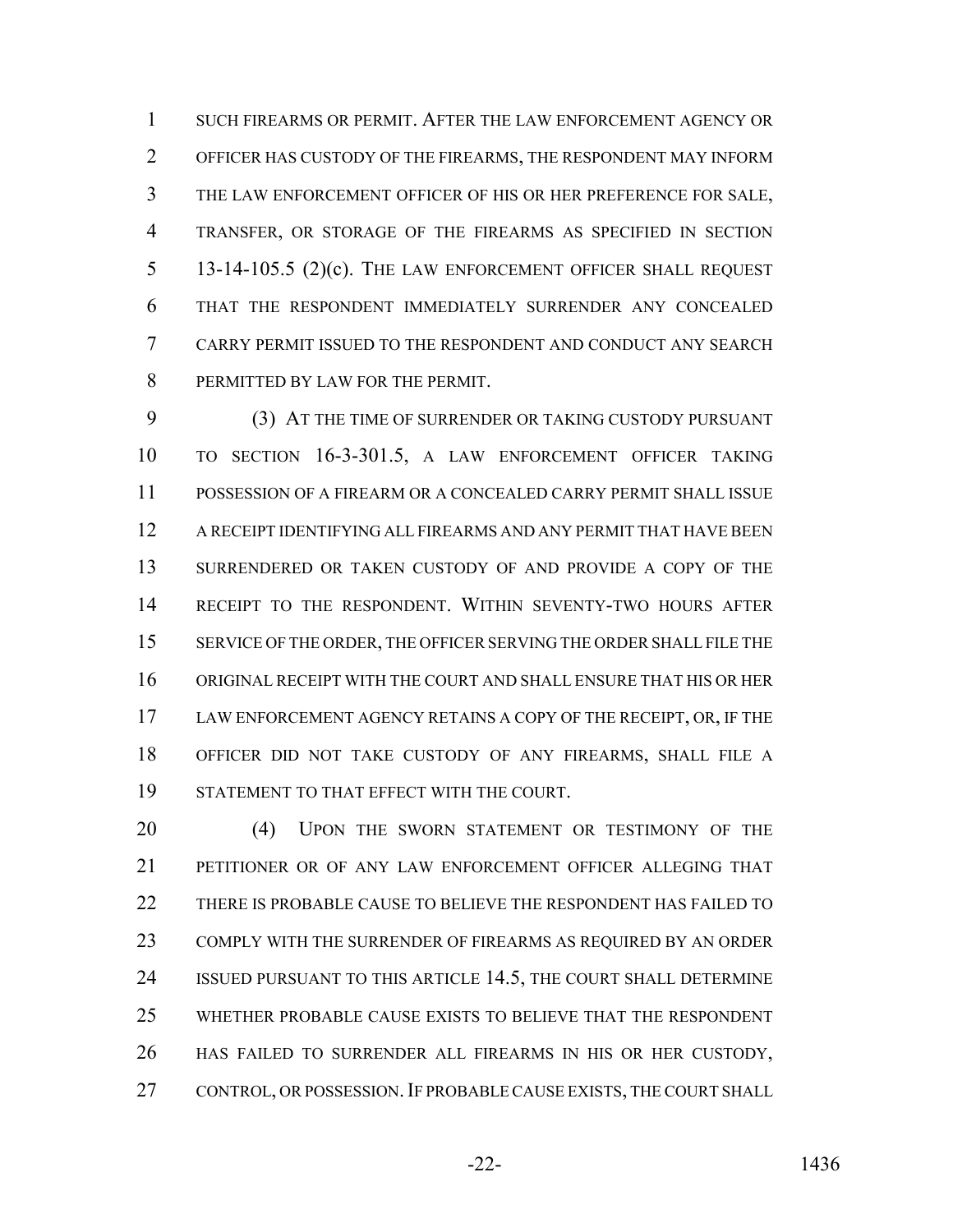SUCH FIREARMS OR PERMIT. AFTER THE LAW ENFORCEMENT AGENCY OR OFFICER HAS CUSTODY OF THE FIREARMS, THE RESPONDENT MAY INFORM THE LAW ENFORCEMENT OFFICER OF HIS OR HER PREFERENCE FOR SALE, TRANSFER, OR STORAGE OF THE FIREARMS AS SPECIFIED IN SECTION 13-14-105.5 (2)(c). THE LAW ENFORCEMENT OFFICER SHALL REQUEST THAT THE RESPONDENT IMMEDIATELY SURRENDER ANY CONCEALED CARRY PERMIT ISSUED TO THE RESPONDENT AND CONDUCT ANY SEARCH PERMITTED BY LAW FOR THE PERMIT.

 (3) AT THE TIME OF SURRENDER OR TAKING CUSTODY PURSUANT TO SECTION 16-3-301.5, A LAW ENFORCEMENT OFFICER TAKING POSSESSION OF A FIREARM OR A CONCEALED CARRY PERMIT SHALL ISSUE A RECEIPT IDENTIFYING ALL FIREARMS AND ANY PERMIT THAT HAVE BEEN SURRENDERED OR TAKEN CUSTODY OF AND PROVIDE A COPY OF THE RECEIPT TO THE RESPONDENT. WITHIN SEVENTY-TWO HOURS AFTER SERVICE OF THE ORDER, THE OFFICER SERVING THE ORDER SHALL FILE THE ORIGINAL RECEIPT WITH THE COURT AND SHALL ENSURE THAT HIS OR HER 17 LAW ENFORCEMENT AGENCY RETAINS A COPY OF THE RECEIPT, OR, IF THE OFFICER DID NOT TAKE CUSTODY OF ANY FIREARMS, SHALL FILE A STATEMENT TO THAT EFFECT WITH THE COURT.

20 (4) UPON THE SWORN STATEMENT OR TESTIMONY OF THE PETITIONER OR OF ANY LAW ENFORCEMENT OFFICER ALLEGING THAT THERE IS PROBABLE CAUSE TO BELIEVE THE RESPONDENT HAS FAILED TO COMPLY WITH THE SURRENDER OF FIREARMS AS REQUIRED BY AN ORDER ISSUED PURSUANT TO THIS ARTICLE 14.5, THE COURT SHALL DETERMINE WHETHER PROBABLE CAUSE EXISTS TO BELIEVE THAT THE RESPONDENT HAS FAILED TO SURRENDER ALL FIREARMS IN HIS OR HER CUSTODY, 27 CONTROL, OR POSSESSION. IF PROBABLE CAUSE EXISTS, THE COURT SHALL

-22- 1436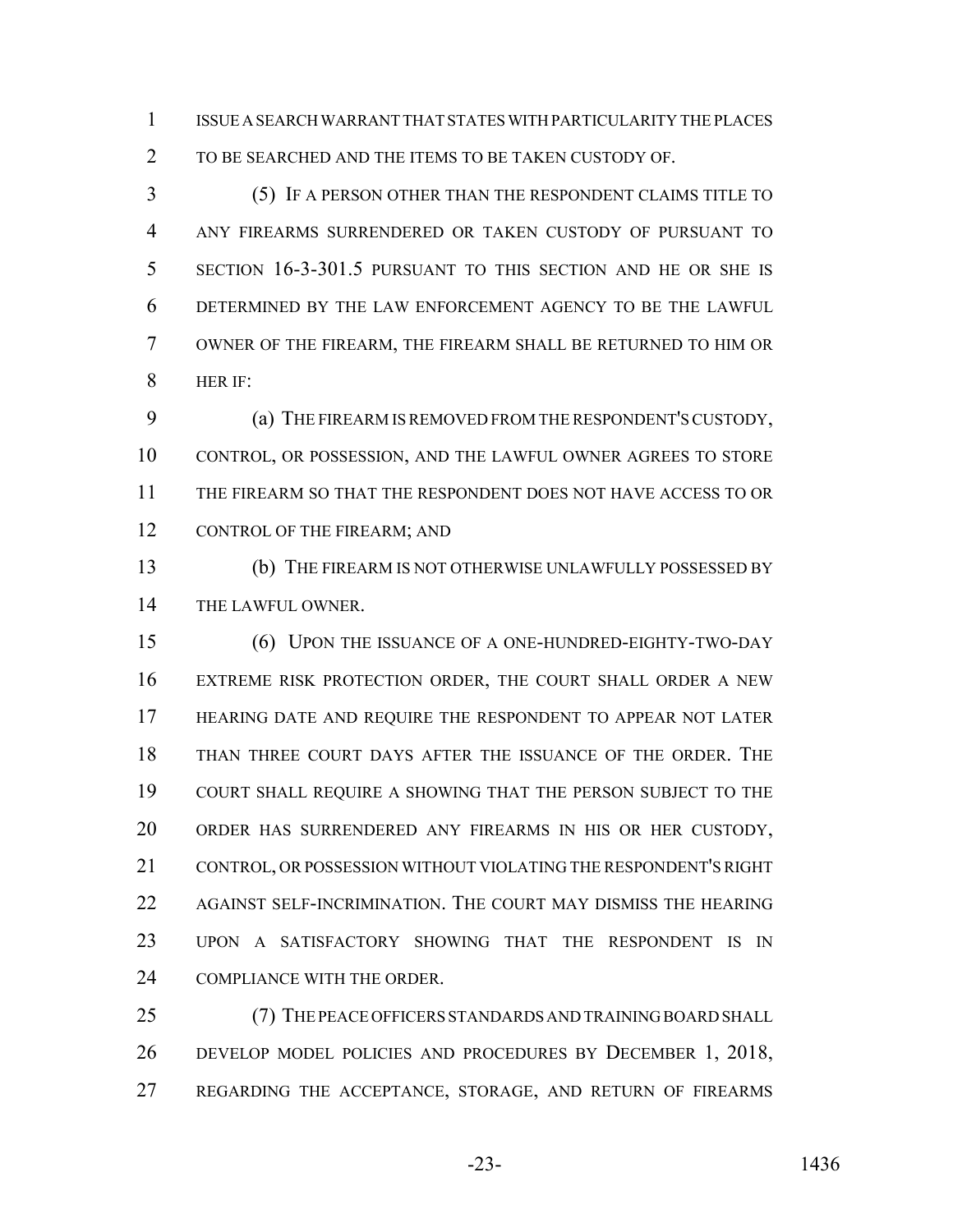ISSUE A SEARCH WARRANT THAT STATES WITH PARTICULARITY THE PLACES TO BE SEARCHED AND THE ITEMS TO BE TAKEN CUSTODY OF.

 (5) IF A PERSON OTHER THAN THE RESPONDENT CLAIMS TITLE TO ANY FIREARMS SURRENDERED OR TAKEN CUSTODY OF PURSUANT TO SECTION 16-3-301.5 PURSUANT TO THIS SECTION AND HE OR SHE IS DETERMINED BY THE LAW ENFORCEMENT AGENCY TO BE THE LAWFUL OWNER OF THE FIREARM, THE FIREARM SHALL BE RETURNED TO HIM OR HER IF:

 (a) THE FIREARM IS REMOVED FROM THE RESPONDENT'S CUSTODY, CONTROL, OR POSSESSION, AND THE LAWFUL OWNER AGREES TO STORE THE FIREARM SO THAT THE RESPONDENT DOES NOT HAVE ACCESS TO OR 12 CONTROL OF THE FIREARM; AND

 (b) THE FIREARM IS NOT OTHERWISE UNLAWFULLY POSSESSED BY THE LAWFUL OWNER.

 (6) UPON THE ISSUANCE OF A ONE-HUNDRED-EIGHTY-TWO-DAY EXTREME RISK PROTECTION ORDER, THE COURT SHALL ORDER A NEW HEARING DATE AND REQUIRE THE RESPONDENT TO APPEAR NOT LATER THAN THREE COURT DAYS AFTER THE ISSUANCE OF THE ORDER. THE COURT SHALL REQUIRE A SHOWING THAT THE PERSON SUBJECT TO THE ORDER HAS SURRENDERED ANY FIREARMS IN HIS OR HER CUSTODY, CONTROL, OR POSSESSION WITHOUT VIOLATING THE RESPONDENT'S RIGHT AGAINST SELF-INCRIMINATION. THE COURT MAY DISMISS THE HEARING UPON A SATISFACTORY SHOWING THAT THE RESPONDENT IS IN COMPLIANCE WITH THE ORDER.

 (7) THE PEACE OFFICERS STANDARDS AND TRAINING BOARD SHALL DEVELOP MODEL POLICIES AND PROCEDURES BY DECEMBER 1, 2018, REGARDING THE ACCEPTANCE, STORAGE, AND RETURN OF FIREARMS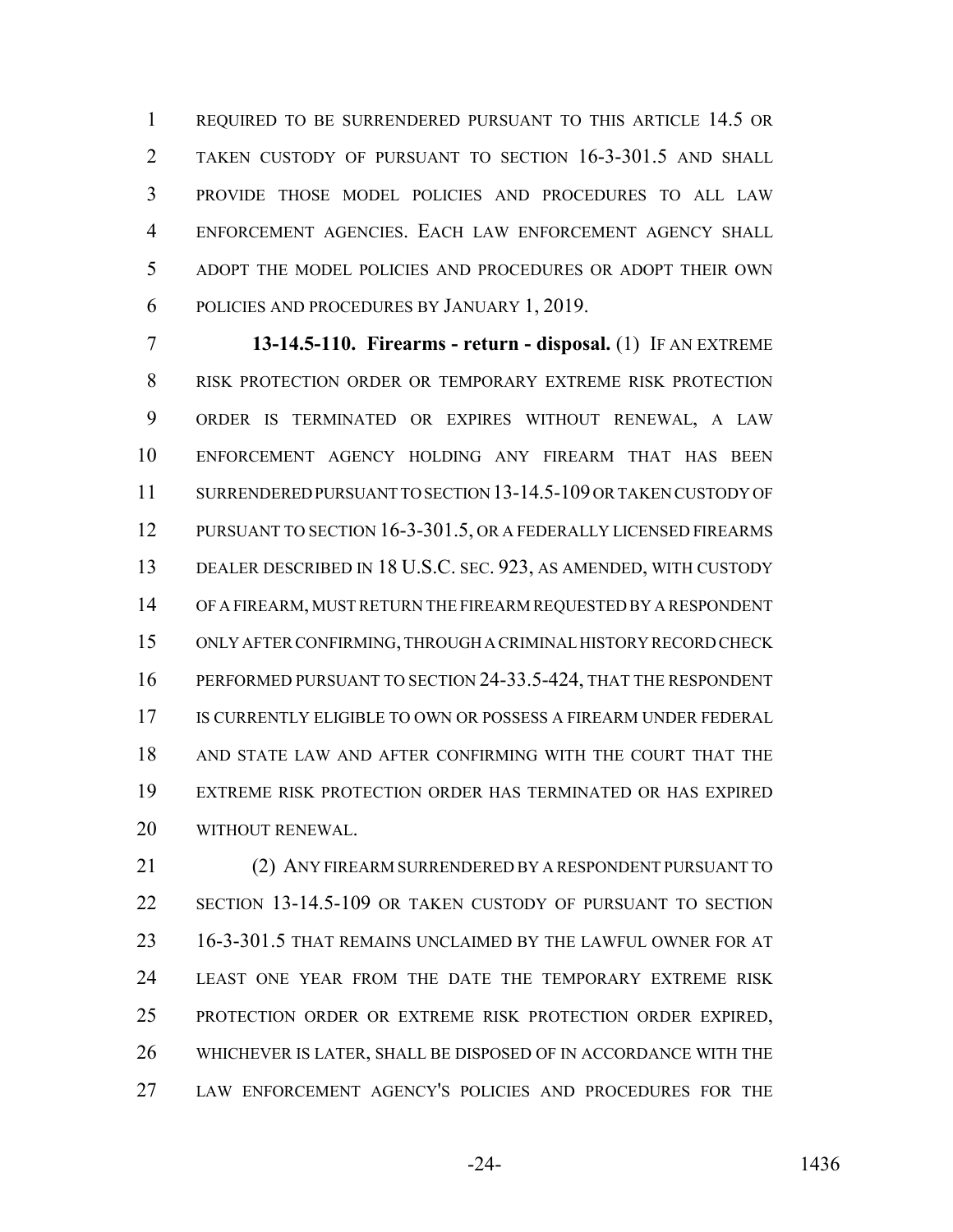1 REQUIRED TO BE SURRENDERED PURSUANT TO THIS ARTICLE 14.5 OR TAKEN CUSTODY OF PURSUANT TO SECTION 16-3-301.5 AND SHALL PROVIDE THOSE MODEL POLICIES AND PROCEDURES TO ALL LAW ENFORCEMENT AGENCIES. EACH LAW ENFORCEMENT AGENCY SHALL ADOPT THE MODEL POLICIES AND PROCEDURES OR ADOPT THEIR OWN POLICIES AND PROCEDURES BY JANUARY 1, 2019.

 **13-14.5-110. Firearms - return - disposal.** (1) IF AN EXTREME RISK PROTECTION ORDER OR TEMPORARY EXTREME RISK PROTECTION ORDER IS TERMINATED OR EXPIRES WITHOUT RENEWAL, A LAW ENFORCEMENT AGENCY HOLDING ANY FIREARM THAT HAS BEEN SURRENDERED PURSUANT TO SECTION 13-14.5-109 OR TAKEN CUSTODY OF 12 PURSUANT TO SECTION 16-3-301.5, OR A FEDERALLY LICENSED FIREARMS DEALER DESCRIBED IN 18 U.S.C. SEC. 923, AS AMENDED, WITH CUSTODY OF A FIREARM, MUST RETURN THE FIREARM REQUESTED BY A RESPONDENT ONLY AFTER CONFIRMING, THROUGH A CRIMINAL HISTORY RECORD CHECK PERFORMED PURSUANT TO SECTION 24-33.5-424, THAT THE RESPONDENT 17 IS CURRENTLY ELIGIBLE TO OWN OR POSSESS A FIREARM UNDER FEDERAL AND STATE LAW AND AFTER CONFIRMING WITH THE COURT THAT THE EXTREME RISK PROTECTION ORDER HAS TERMINATED OR HAS EXPIRED WITHOUT RENEWAL.

 (2) ANY FIREARM SURRENDERED BY A RESPONDENT PURSUANT TO SECTION 13-14.5-109 OR TAKEN CUSTODY OF PURSUANT TO SECTION 16-3-301.5 THAT REMAINS UNCLAIMED BY THE LAWFUL OWNER FOR AT LEAST ONE YEAR FROM THE DATE THE TEMPORARY EXTREME RISK PROTECTION ORDER OR EXTREME RISK PROTECTION ORDER EXPIRED, WHICHEVER IS LATER, SHALL BE DISPOSED OF IN ACCORDANCE WITH THE LAW ENFORCEMENT AGENCY'S POLICIES AND PROCEDURES FOR THE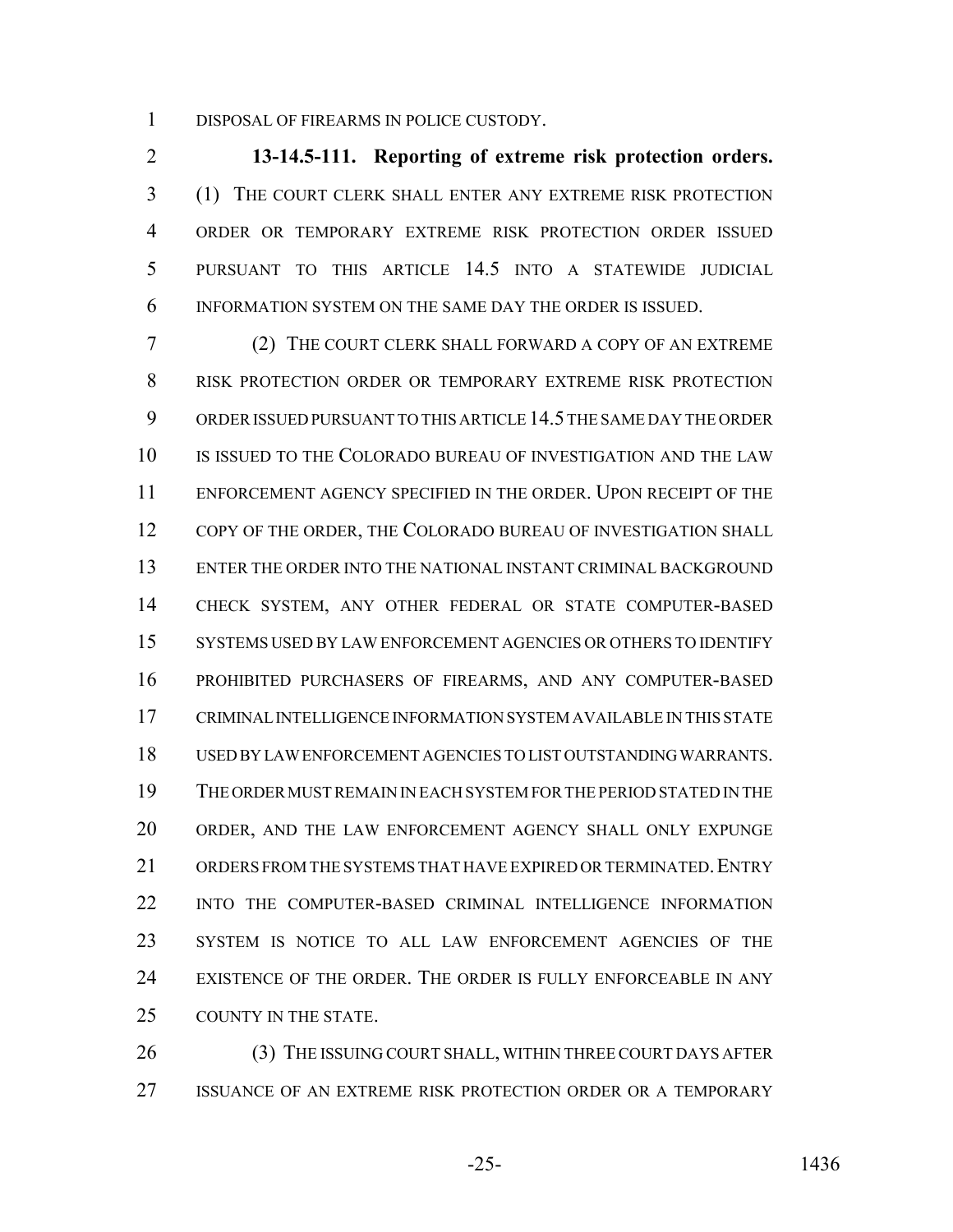DISPOSAL OF FIREARMS IN POLICE CUSTODY.

 **13-14.5-111. Reporting of extreme risk protection orders.** (1) THE COURT CLERK SHALL ENTER ANY EXTREME RISK PROTECTION ORDER OR TEMPORARY EXTREME RISK PROTECTION ORDER ISSUED PURSUANT TO THIS ARTICLE 14.5 INTO A STATEWIDE JUDICIAL INFORMATION SYSTEM ON THE SAME DAY THE ORDER IS ISSUED.

 (2) THE COURT CLERK SHALL FORWARD A COPY OF AN EXTREME RISK PROTECTION ORDER OR TEMPORARY EXTREME RISK PROTECTION ORDER ISSUED PURSUANT TO THIS ARTICLE 14.5 THE SAME DAY THE ORDER IS ISSUED TO THE COLORADO BUREAU OF INVESTIGATION AND THE LAW ENFORCEMENT AGENCY SPECIFIED IN THE ORDER. UPON RECEIPT OF THE 12 COPY OF THE ORDER, THE COLORADO BUREAU OF INVESTIGATION SHALL ENTER THE ORDER INTO THE NATIONAL INSTANT CRIMINAL BACKGROUND CHECK SYSTEM, ANY OTHER FEDERAL OR STATE COMPUTER-BASED SYSTEMS USED BY LAW ENFORCEMENT AGENCIES OR OTHERS TO IDENTIFY PROHIBITED PURCHASERS OF FIREARMS, AND ANY COMPUTER-BASED CRIMINAL INTELLIGENCE INFORMATION SYSTEM AVAILABLE IN THIS STATE USED BY LAW ENFORCEMENT AGENCIES TO LIST OUTSTANDING WARRANTS. THE ORDER MUST REMAIN IN EACH SYSTEM FOR THE PERIOD STATED IN THE ORDER, AND THE LAW ENFORCEMENT AGENCY SHALL ONLY EXPUNGE 21 ORDERS FROM THE SYSTEMS THAT HAVE EXPIRED OR TERMINATED. ENTRY INTO THE COMPUTER-BASED CRIMINAL INTELLIGENCE INFORMATION SYSTEM IS NOTICE TO ALL LAW ENFORCEMENT AGENCIES OF THE EXISTENCE OF THE ORDER. THE ORDER IS FULLY ENFORCEABLE IN ANY 25 COUNTY IN THE STATE.

26 (3) THE ISSUING COURT SHALL, WITHIN THREE COURT DAYS AFTER ISSUANCE OF AN EXTREME RISK PROTECTION ORDER OR A TEMPORARY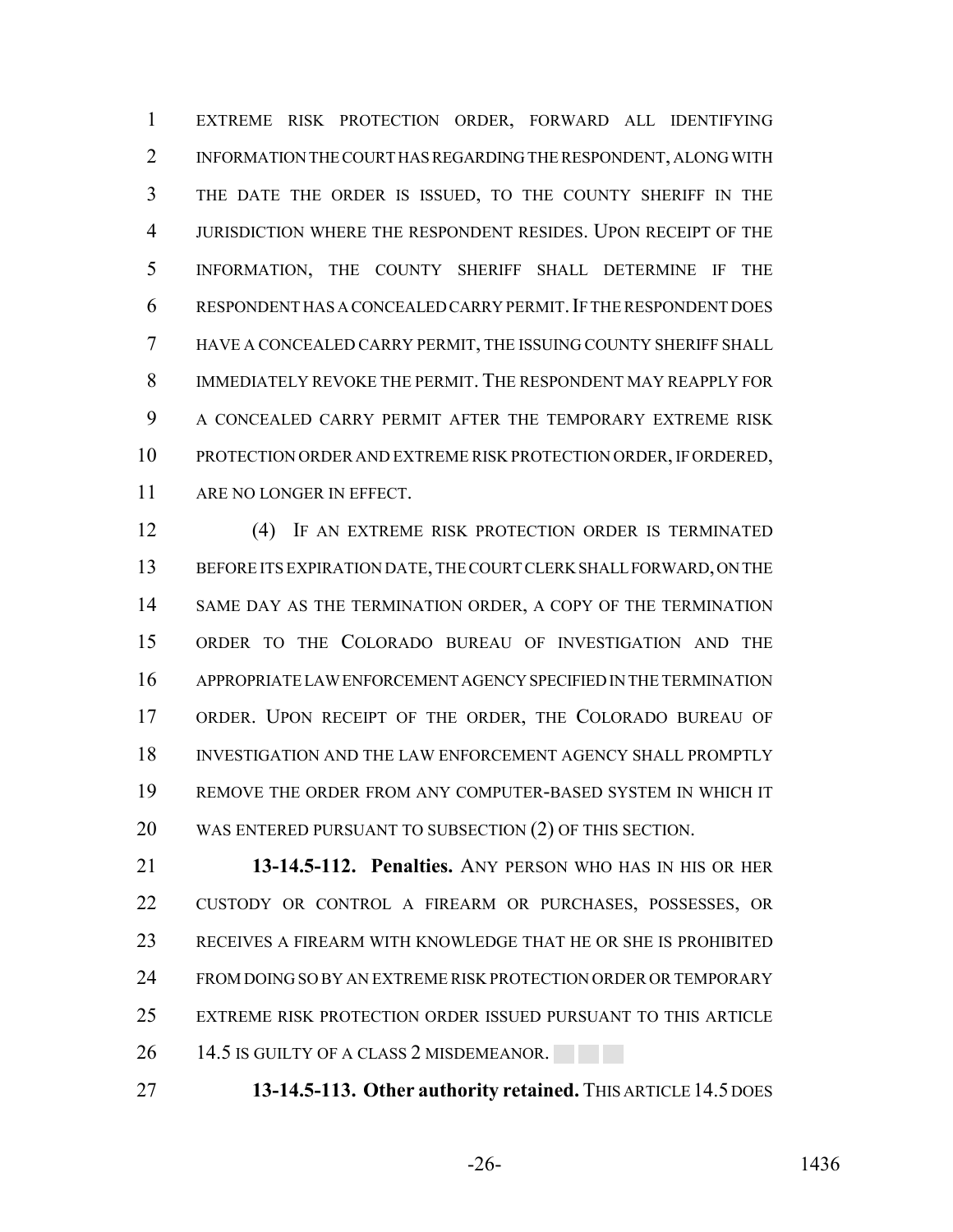EXTREME RISK PROTECTION ORDER, FORWARD ALL IDENTIFYING INFORMATION THE COURT HAS REGARDING THE RESPONDENT, ALONG WITH THE DATE THE ORDER IS ISSUED, TO THE COUNTY SHERIFF IN THE JURISDICTION WHERE THE RESPONDENT RESIDES. UPON RECEIPT OF THE INFORMATION, THE COUNTY SHERIFF SHALL DETERMINE IF THE RESPONDENT HAS A CONCEALED CARRY PERMIT.IF THE RESPONDENT DOES HAVE A CONCEALED CARRY PERMIT, THE ISSUING COUNTY SHERIFF SHALL IMMEDIATELY REVOKE THE PERMIT. THE RESPONDENT MAY REAPPLY FOR A CONCEALED CARRY PERMIT AFTER THE TEMPORARY EXTREME RISK PROTECTION ORDER AND EXTREME RISK PROTECTION ORDER, IF ORDERED, ARE NO LONGER IN EFFECT.

 (4) IF AN EXTREME RISK PROTECTION ORDER IS TERMINATED BEFORE ITS EXPIRATION DATE, THE COURT CLERK SHALL FORWARD, ON THE SAME DAY AS THE TERMINATION ORDER, A COPY OF THE TERMINATION ORDER TO THE COLORADO BUREAU OF INVESTIGATION AND THE APPROPRIATE LAW ENFORCEMENT AGENCY SPECIFIED IN THE TERMINATION ORDER. UPON RECEIPT OF THE ORDER, THE COLORADO BUREAU OF INVESTIGATION AND THE LAW ENFORCEMENT AGENCY SHALL PROMPTLY REMOVE THE ORDER FROM ANY COMPUTER-BASED SYSTEM IN WHICH IT WAS ENTERED PURSUANT TO SUBSECTION (2) OF THIS SECTION.

 **13-14.5-112. Penalties.** ANY PERSON WHO HAS IN HIS OR HER CUSTODY OR CONTROL A FIREARM OR PURCHASES, POSSESSES, OR RECEIVES A FIREARM WITH KNOWLEDGE THAT HE OR SHE IS PROHIBITED 24 FROM DOING SO BY AN EXTREME RISK PROTECTION ORDER OR TEMPORARY EXTREME RISK PROTECTION ORDER ISSUED PURSUANT TO THIS ARTICLE 26 14.5 IS GUILTY OF A CLASS 2 MISDEMEANOR.

**13-14.5-113. Other authority retained.** THIS ARTICLE 14.5 DOES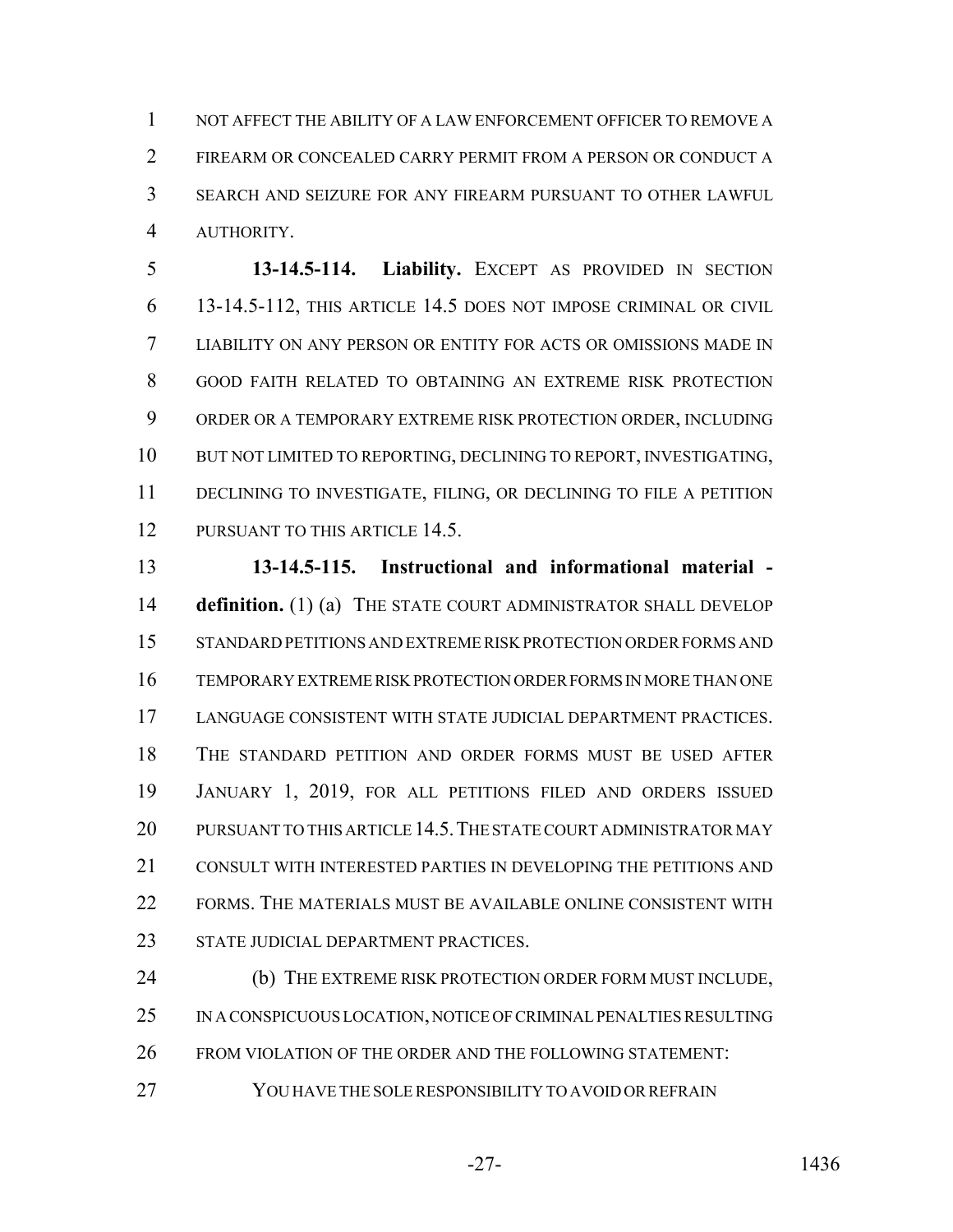1 NOT AFFECT THE ABILITY OF A LAW ENFORCEMENT OFFICER TO REMOVE A FIREARM OR CONCEALED CARRY PERMIT FROM A PERSON OR CONDUCT A SEARCH AND SEIZURE FOR ANY FIREARM PURSUANT TO OTHER LAWFUL AUTHORITY.

 **13-14.5-114. Liability.** EXCEPT AS PROVIDED IN SECTION 13-14.5-112, THIS ARTICLE 14.5 DOES NOT IMPOSE CRIMINAL OR CIVIL LIABILITY ON ANY PERSON OR ENTITY FOR ACTS OR OMISSIONS MADE IN GOOD FAITH RELATED TO OBTAINING AN EXTREME RISK PROTECTION ORDER OR A TEMPORARY EXTREME RISK PROTECTION ORDER, INCLUDING BUT NOT LIMITED TO REPORTING, DECLINING TO REPORT, INVESTIGATING, DECLINING TO INVESTIGATE, FILING, OR DECLINING TO FILE A PETITION 12 PURSUANT TO THIS ARTICLE 14.5.

 **13-14.5-115. Instructional and informational material - definition.** (1) (a) THE STATE COURT ADMINISTRATOR SHALL DEVELOP STANDARD PETITIONS AND EXTREME RISK PROTECTION ORDER FORMS AND TEMPORARY EXTREME RISK PROTECTION ORDER FORMS IN MORE THAN ONE LANGUAGE CONSISTENT WITH STATE JUDICIAL DEPARTMENT PRACTICES. THE STANDARD PETITION AND ORDER FORMS MUST BE USED AFTER JANUARY 1, 2019, FOR ALL PETITIONS FILED AND ORDERS ISSUED 20 PURSUANT TO THIS ARTICLE 14.5. THE STATE COURT ADMINISTRATOR MAY CONSULT WITH INTERESTED PARTIES IN DEVELOPING THE PETITIONS AND FORMS. THE MATERIALS MUST BE AVAILABLE ONLINE CONSISTENT WITH 23 STATE JUDICIAL DEPARTMENT PRACTICES.

24 (b) THE EXTREME RISK PROTECTION ORDER FORM MUST INCLUDE, IN A CONSPICUOUS LOCATION, NOTICE OF CRIMINAL PENALTIES RESULTING FROM VIOLATION OF THE ORDER AND THE FOLLOWING STATEMENT:

27 YOU HAVE THE SOLE RESPONSIBILITY TO AVOID OR REFRAIN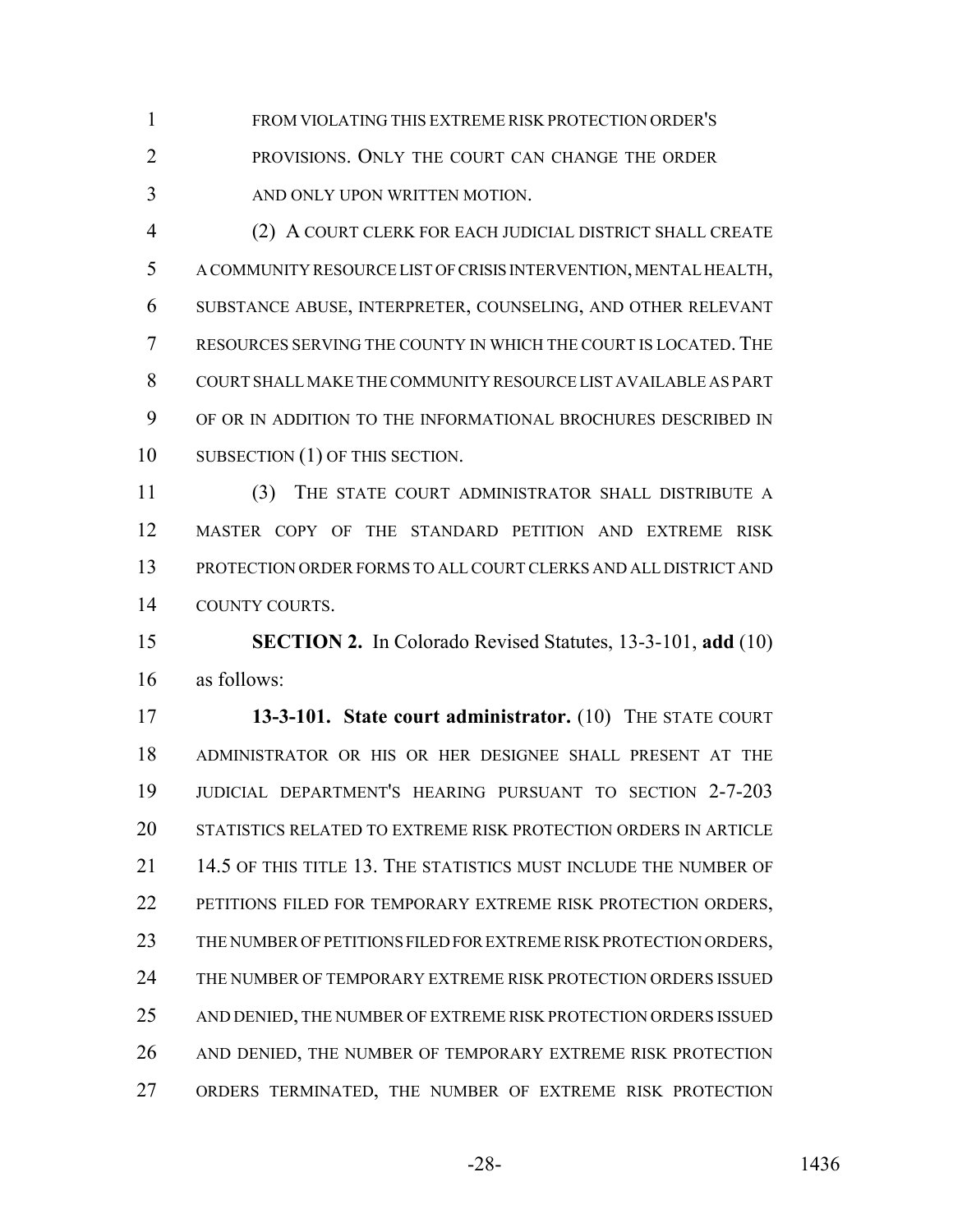FROM VIOLATING THIS EXTREME RISK PROTECTION ORDER'S

 PROVISIONS. ONLY THE COURT CAN CHANGE THE ORDER AND ONLY UPON WRITTEN MOTION.

 (2) A COURT CLERK FOR EACH JUDICIAL DISTRICT SHALL CREATE A COMMUNITY RESOURCE LIST OF CRISIS INTERVENTION, MENTAL HEALTH, SUBSTANCE ABUSE, INTERPRETER, COUNSELING, AND OTHER RELEVANT RESOURCES SERVING THE COUNTY IN WHICH THE COURT IS LOCATED. THE COURT SHALL MAKE THE COMMUNITY RESOURCE LIST AVAILABLE AS PART OF OR IN ADDITION TO THE INFORMATIONAL BROCHURES DESCRIBED IN 10 SUBSECTION (1) OF THIS SECTION.

 (3) THE STATE COURT ADMINISTRATOR SHALL DISTRIBUTE A MASTER COPY OF THE STANDARD PETITION AND EXTREME RISK PROTECTION ORDER FORMS TO ALL COURT CLERKS AND ALL DISTRICT AND COUNTY COURTS.

 **SECTION 2.** In Colorado Revised Statutes, 13-3-101, **add** (10) as follows:

 **13-3-101. State court administrator.** (10) THE STATE COURT ADMINISTRATOR OR HIS OR HER DESIGNEE SHALL PRESENT AT THE JUDICIAL DEPARTMENT'S HEARING PURSUANT TO SECTION 2-7-203 STATISTICS RELATED TO EXTREME RISK PROTECTION ORDERS IN ARTICLE 14.5 OF THIS TITLE 13. THE STATISTICS MUST INCLUDE THE NUMBER OF 22 PETITIONS FILED FOR TEMPORARY EXTREME RISK PROTECTION ORDERS, THE NUMBER OF PETITIONS FILED FOR EXTREME RISK PROTECTION ORDERS, THE NUMBER OF TEMPORARY EXTREME RISK PROTECTION ORDERS ISSUED AND DENIED, THE NUMBER OF EXTREME RISK PROTECTION ORDERS ISSUED AND DENIED, THE NUMBER OF TEMPORARY EXTREME RISK PROTECTION ORDERS TERMINATED, THE NUMBER OF EXTREME RISK PROTECTION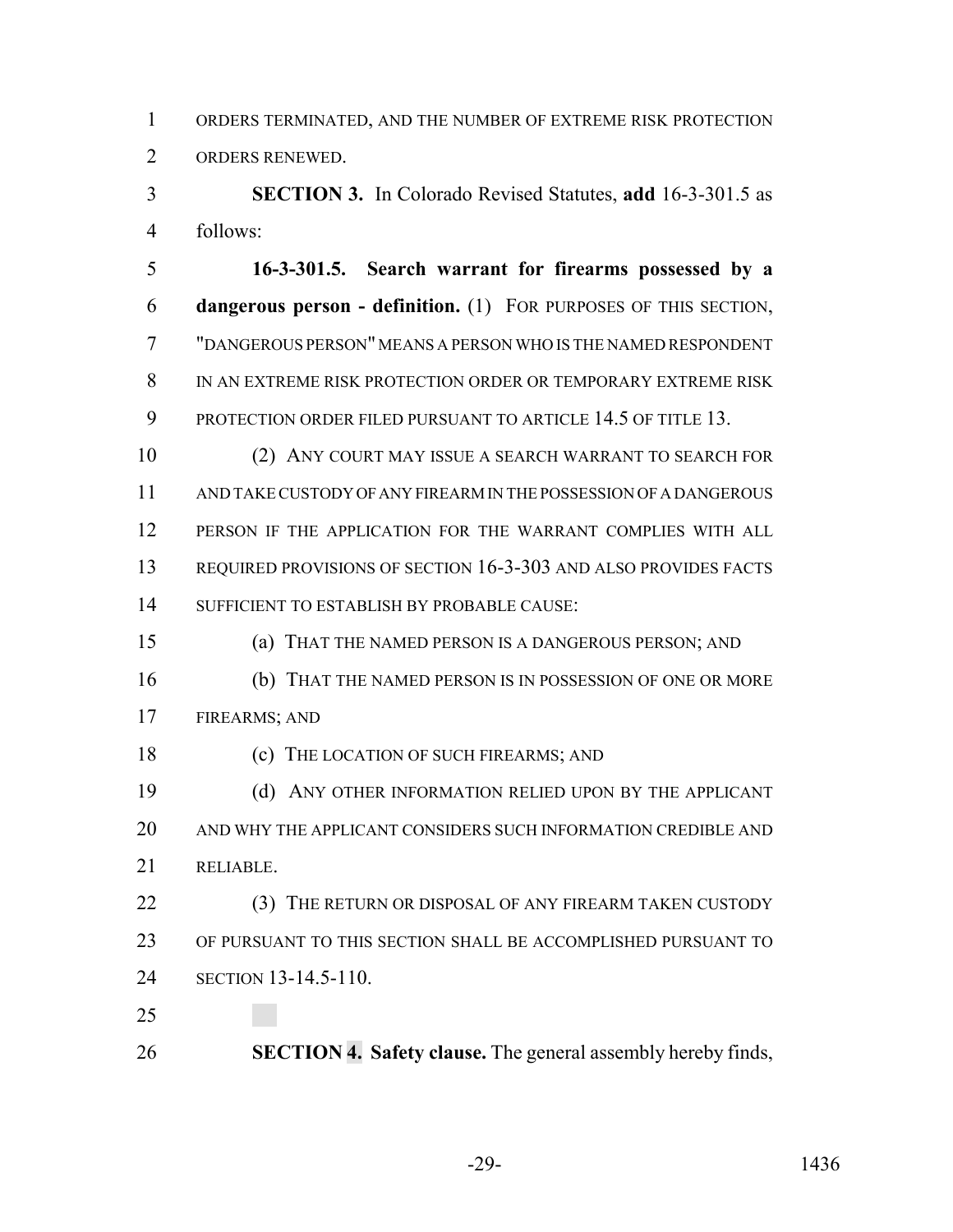ORDERS TERMINATED, AND THE NUMBER OF EXTREME RISK PROTECTION ORDERS RENEWED.

 **SECTION 3.** In Colorado Revised Statutes, **add** 16-3-301.5 as follows:

 **16-3-301.5. Search warrant for firearms possessed by a dangerous person - definition.** (1) FOR PURPOSES OF THIS SECTION, "DANGEROUS PERSON" MEANS A PERSON WHO IS THE NAMED RESPONDENT IN AN EXTREME RISK PROTECTION ORDER OR TEMPORARY EXTREME RISK 9 PROTECTION ORDER FILED PURSUANT TO ARTICLE 14.5 OF TITLE 13.

 (2) ANY COURT MAY ISSUE A SEARCH WARRANT TO SEARCH FOR AND TAKE CUSTODY OF ANY FIREARM IN THE POSSESSION OF A DANGEROUS PERSON IF THE APPLICATION FOR THE WARRANT COMPLIES WITH ALL REQUIRED PROVISIONS OF SECTION 16-3-303 AND ALSO PROVIDES FACTS SUFFICIENT TO ESTABLISH BY PROBABLE CAUSE:

(a) THAT THE NAMED PERSON IS A DANGEROUS PERSON; AND

 (b) THAT THE NAMED PERSON IS IN POSSESSION OF ONE OR MORE FIREARMS; AND

(c) THE LOCATION OF SUCH FIREARMS; AND

 (d) ANY OTHER INFORMATION RELIED UPON BY THE APPLICANT AND WHY THE APPLICANT CONSIDERS SUCH INFORMATION CREDIBLE AND RELIABLE.

22 (3) THE RETURN OR DISPOSAL OF ANY FIREARM TAKEN CUSTODY OF PURSUANT TO THIS SECTION SHALL BE ACCOMPLISHED PURSUANT TO SECTION 13-14.5-110.

**SECTION 4. Safety clause.** The general assembly hereby finds,